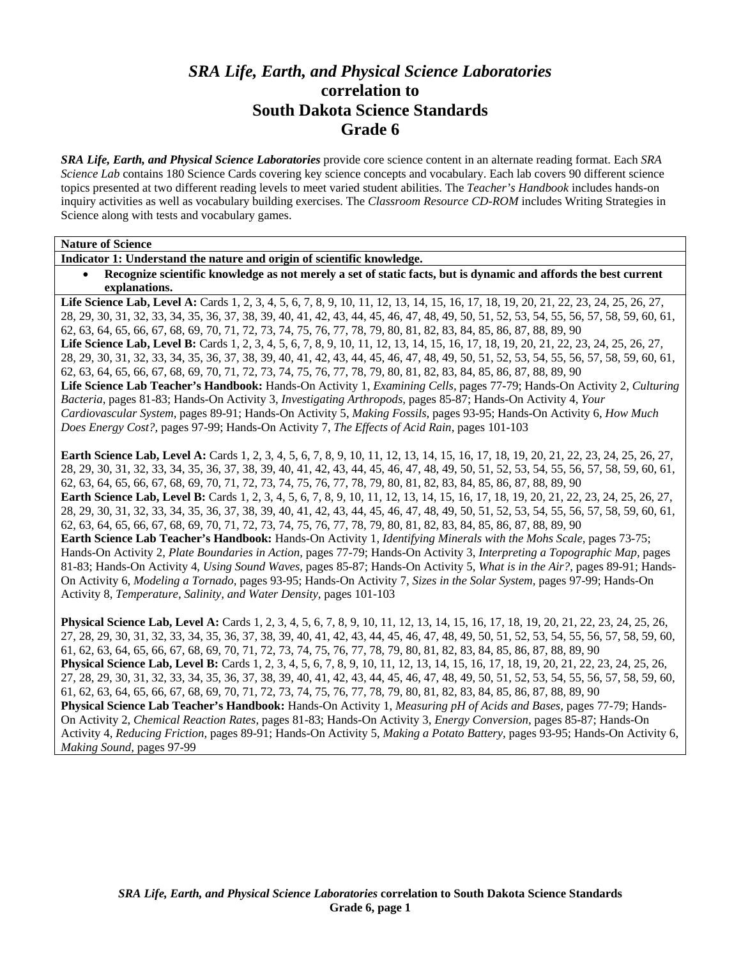# *SRA Life, Earth, and Physical Science Laboratories*  **correlation to South Dakota Science Standards Grade 6**

*SRA Life, Earth, and Physical Science Laboratories* provide core science content in an alternate reading format. Each *SRA Science Lab* contains 180 Science Cards covering key science concepts and vocabulary. Each lab covers 90 different science topics presented at two different reading levels to meet varied student abilities. The *Teacher's Handbook* includes hands-on inquiry activities as well as vocabulary building exercises. The *Classroom Resource CD-ROM* includes Writing Strategies in Science along with tests and vocabulary games.

**Nature of Science** 

**Indicator 1: Understand the nature and origin of scientific knowledge.** 

• **Recognize scientific knowledge as not merely a set of static facts, but is dynamic and affords the best current explanations.** 

Life Science Lab, Level A: Cards 1, 2, 3, 4, 5, 6, 7, 8, 9, 10, 11, 12, 13, 14, 15, 16, 17, 18, 19, 20, 21, 22, 23, 24, 25, 26, 27, 28, 29, 30, 31, 32, 33, 34, 35, 36, 37, 38, 39, 40, 41, 42, 43, 44, 45, 46, 47, 48, 49, 50, 51, 52, 53, 54, 55, 56, 57, 58, 59, 60, 61, 62, 63, 64, 65, 66, 67, 68, 69, 70, 71, 72, 73, 74, 75, 76, 77, 78, 79, 80, 81, 82, 83, 84, 85, 86, 87, 88, 89, 90 Life Science Lab, Level B: Cards 1, 2, 3, 4, 5, 6, 7, 8, 9, 10, 11, 12, 13, 14, 15, 16, 17, 18, 19, 20, 21, 22, 23, 24, 25, 26, 27, 28, 29, 30, 31, 32, 33, 34, 35, 36, 37, 38, 39, 40, 41, 42, 43, 44, 45, 46, 47, 48, 49, 50, 51, 52, 53, 54, 55, 56, 57, 58, 59, 60, 61, 62, 63, 64, 65, 66, 67, 68, 69, 70, 71, 72, 73, 74, 75, 76, 77, 78, 79, 80, 81, 82, 83, 84, 85, 86, 87, 88, 89, 90 **Life Science Lab Teacher's Handbook:** Hands-On Activity 1, *Examining Cells,* pages 77-79; Hands-On Activity 2, *Culturing Bacteria,* pages 81-83; Hands-On Activity 3, *Investigating Arthropods,* pages 85-87; Hands-On Activity 4, *Your Cardiovascular System,* pages 89-91; Hands-On Activity 5, *Making Fossils,* pages 93-95; Hands-On Activity 6, *How Much Does Energy Cost?,* pages 97-99; Hands-On Activity 7, *The Effects of Acid Rain,* pages 101-103

**Earth Science Lab, Level A:** Cards 1, 2, 3, 4, 5, 6, 7, 8, 9, 10, 11, 12, 13, 14, 15, 16, 17, 18, 19, 20, 21, 22, 23, 24, 25, 26, 27, 28, 29, 30, 31, 32, 33, 34, 35, 36, 37, 38, 39, 40, 41, 42, 43, 44, 45, 46, 47, 48, 49, 50, 51, 52, 53, 54, 55, 56, 57, 58, 59, 60, 61, 62, 63, 64, 65, 66, 67, 68, 69, 70, 71, 72, 73, 74, 75, 76, 77, 78, 79, 80, 81, 82, 83, 84, 85, 86, 87, 88, 89, 90 **Earth Science Lab, Level B:** Cards 1, 2, 3, 4, 5, 6, 7, 8, 9, 10, 11, 12, 13, 14, 15, 16, 17, 18, 19, 20, 21, 22, 23, 24, 25, 26, 27, 28, 29, 30, 31, 32, 33, 34, 35, 36, 37, 38, 39, 40, 41, 42, 43, 44, 45, 46, 47, 48, 49, 50, 51, 52, 53, 54, 55, 56, 57, 58, 59, 60, 61, 62, 63, 64, 65, 66, 67, 68, 69, 70, 71, 72, 73, 74, 75, 76, 77, 78, 79, 80, 81, 82, 83, 84, 85, 86, 87, 88, 89, 90 **Earth Science Lab Teacher's Handbook:** Hands-On Activity 1, *Identifying Minerals with the Mohs Scale,* pages 73-75; Hands-On Activity 2, *Plate Boundaries in Action,* pages 77-79; Hands-On Activity 3, *Interpreting a Topographic Map,* pages 81-83; Hands-On Activity 4, *Using Sound Waves,* pages 85-87; Hands-On Activity 5, *What is in the Air?,* pages 89-91; Hands-On Activity 6, *Modeling a Tornado,* pages 93-95; Hands-On Activity 7, *Sizes in the Solar System,* pages 97-99; Hands-On Activity 8, *Temperature, Salinity, and Water Density,* pages 101-103

**Physical Science Lab, Level A:** Cards 1, 2, 3, 4, 5, 6, 7, 8, 9, 10, 11, 12, 13, 14, 15, 16, 17, 18, 19, 20, 21, 22, 23, 24, 25, 26, 27, 28, 29, 30, 31, 32, 33, 34, 35, 36, 37, 38, 39, 40, 41, 42, 43, 44, 45, 46, 47, 48, 49, 50, 51, 52, 53, 54, 55, 56, 57, 58, 59, 60, 61, 62, 63, 64, 65, 66, 67, 68, 69, 70, 71, 72, 73, 74, 75, 76, 77, 78, 79, 80, 81, 82, 83, 84, 85, 86, 87, 88, 89, 90 **Physical Science Lab, Level B:** Cards 1, 2, 3, 4, 5, 6, 7, 8, 9, 10, 11, 12, 13, 14, 15, 16, 17, 18, 19, 20, 21, 22, 23, 24, 25, 26, 27, 28, 29, 30, 31, 32, 33, 34, 35, 36, 37, 38, 39, 40, 41, 42, 43, 44, 45, 46, 47, 48, 49, 50, 51, 52, 53, 54, 55, 56, 57, 58, 59, 60, 61, 62, 63, 64, 65, 66, 67, 68, 69, 70, 71, 72, 73, 74, 75, 76, 77, 78, 79, 80, 81, 82, 83, 84, 85, 86, 87, 88, 89, 90 **Physical Science Lab Teacher's Handbook:** Hands-On Activity 1, *Measuring pH of Acids and Bases,* pages 77-79; Hands-On Activity 2, *Chemical Reaction Rates,* pages 81-83; Hands-On Activity 3, *Energy Conversion,* pages 85-87; Hands-On Activity 4, *Reducing Friction,* pages 89-91; Hands-On Activity 5, *Making a Potato Battery,* pages 93-95; Hands-On Activity 6, *Making Sound,* pages 97-99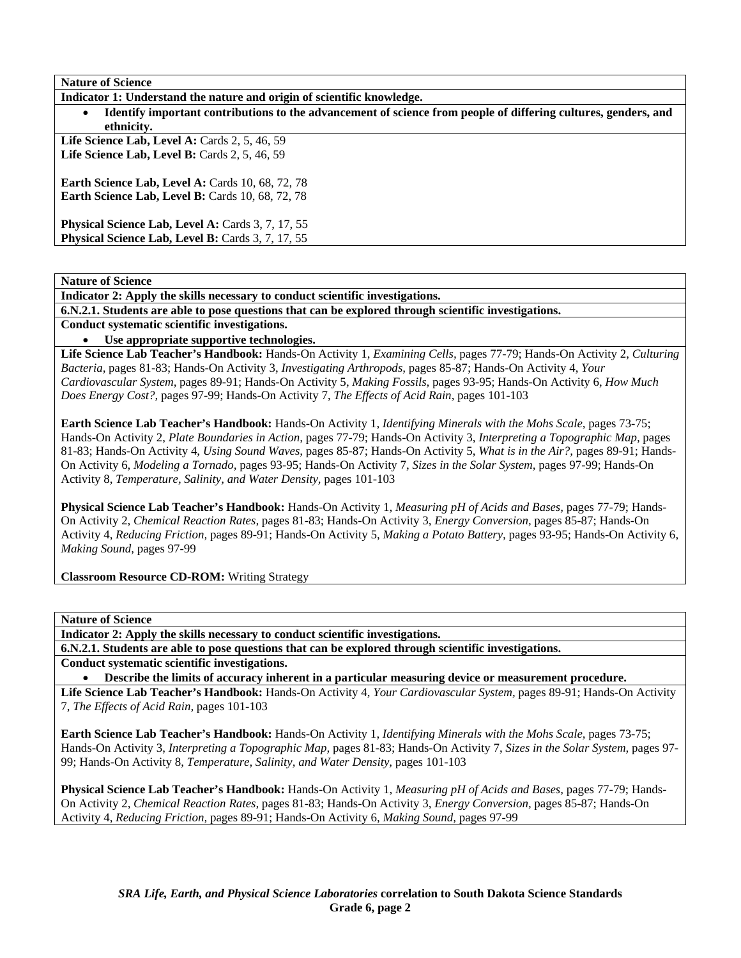| <b>Nature of Science</b>                                                                                                                  |
|-------------------------------------------------------------------------------------------------------------------------------------------|
| Indicator 1: Understand the nature and origin of scientific knowledge.                                                                    |
| Identify important contributions to the advancement of science from people of differing cultures, genders, and<br>$\bullet$<br>ethnicity. |
| Life Science Lab, Level A: Cards 2, 5, 46, 59                                                                                             |
| Life Science Lab, Level B: Cards 2, 5, 46, 59                                                                                             |
| <b>Earth Science Lab, Level A: Cards 10, 68, 72, 78</b>                                                                                   |
| <b>Earth Science Lab, Level B:</b> Cards 10, 68, 72, 78                                                                                   |
| Physical Science Lab, Level A: Cards 3, 7, 17, 55                                                                                         |
| Physical Science Lab, Level B: Cards 3, 7, 17, 55                                                                                         |

**Indicator 2: Apply the skills necessary to conduct scientific investigations.** 

**6.N.2.1. Students are able to pose questions that can be explored through scientific investigations.** 

**Conduct systematic scientific investigations.** 

• **Use appropriate supportive technologies.** 

**Life Science Lab Teacher's Handbook:** Hands-On Activity 1, *Examining Cells,* pages 77-79; Hands-On Activity 2, *Culturing Bacteria,* pages 81-83; Hands-On Activity 3, *Investigating Arthropods,* pages 85-87; Hands-On Activity 4, *Your Cardiovascular System,* pages 89-91; Hands-On Activity 5, *Making Fossils,* pages 93-95; Hands-On Activity 6, *How Much Does Energy Cost?,* pages 97-99; Hands-On Activity 7, *The Effects of Acid Rain,* pages 101-103

**Earth Science Lab Teacher's Handbook:** Hands-On Activity 1, *Identifying Minerals with the Mohs Scale,* pages 73-75; Hands-On Activity 2, *Plate Boundaries in Action,* pages 77-79; Hands-On Activity 3, *Interpreting a Topographic Map,* pages 81-83; Hands-On Activity 4, *Using Sound Waves,* pages 85-87; Hands-On Activity 5, *What is in the Air?,* pages 89-91; Hands-On Activity 6, *Modeling a Tornado,* pages 93-95; Hands-On Activity 7, *Sizes in the Solar System,* pages 97-99; Hands-On Activity 8, *Temperature, Salinity, and Water Density,* pages 101-103

**Physical Science Lab Teacher's Handbook:** Hands-On Activity 1, *Measuring pH of Acids and Bases,* pages 77-79; Hands-On Activity 2, *Chemical Reaction Rates,* pages 81-83; Hands-On Activity 3, *Energy Conversion,* pages 85-87; Hands-On Activity 4, *Reducing Friction,* pages 89-91; Hands-On Activity 5, *Making a Potato Battery,* pages 93-95; Hands-On Activity 6, *Making Sound,* pages 97-99

**Classroom Resource CD-ROM:** Writing Strategy

**Nature of Science** 

**Indicator 2: Apply the skills necessary to conduct scientific investigations.** 

**6.N.2.1. Students are able to pose questions that can be explored through scientific investigations.** 

**Conduct systematic scientific investigations.** 

• **Describe the limits of accuracy inherent in a particular measuring device or measurement procedure.** 

**Life Science Lab Teacher's Handbook:** Hands-On Activity 4, *Your Cardiovascular System,* pages 89-91; Hands-On Activity 7, *The Effects of Acid Rain,* pages 101-103

**Earth Science Lab Teacher's Handbook:** Hands-On Activity 1, *Identifying Minerals with the Mohs Scale,* pages 73-75; Hands-On Activity 3, *Interpreting a Topographic Map,* pages 81-83; Hands-On Activity 7, *Sizes in the Solar System,* pages 97- 99; Hands-On Activity 8, *Temperature, Salinity, and Water Density,* pages 101-103

**Physical Science Lab Teacher's Handbook:** Hands-On Activity 1, *Measuring pH of Acids and Bases,* pages 77-79; Hands-On Activity 2, *Chemical Reaction Rates,* pages 81-83; Hands-On Activity 3, *Energy Conversion,* pages 85-87; Hands-On Activity 4, *Reducing Friction,* pages 89-91; Hands-On Activity 6, *Making Sound,* pages 97-99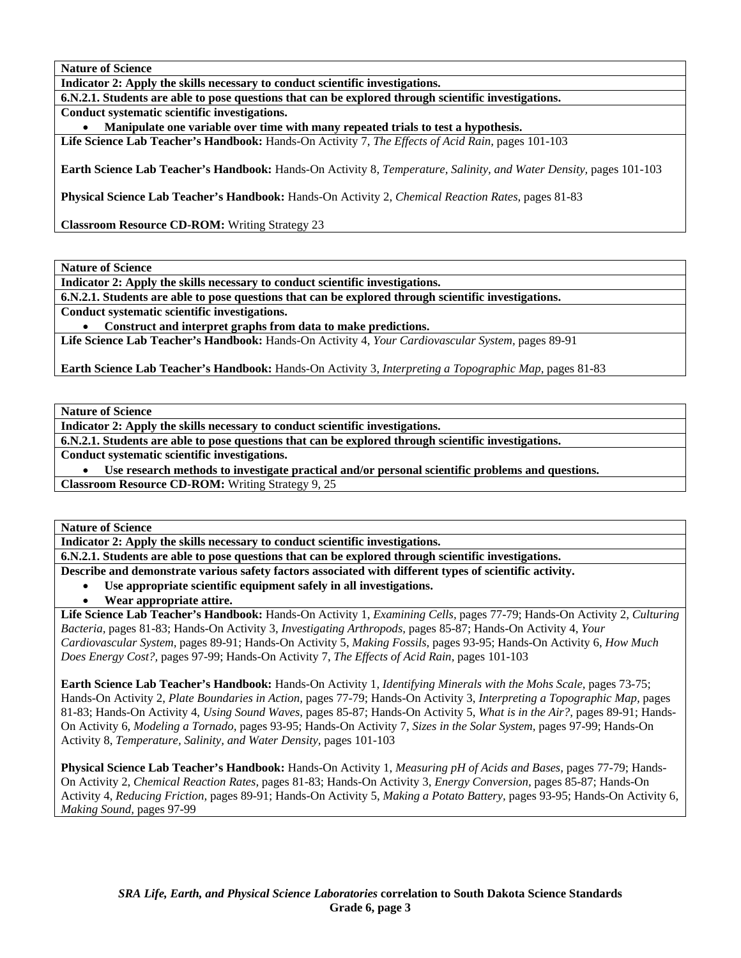**Indicator 2: Apply the skills necessary to conduct scientific investigations.** 

**6.N.2.1. Students are able to pose questions that can be explored through scientific investigations.** 

**Conduct systematic scientific investigations.** 

• **Manipulate one variable over time with many repeated trials to test a hypothesis.** 

**Life Science Lab Teacher's Handbook:** Hands-On Activity 7, *The Effects of Acid Rain,* pages 101-103

**Earth Science Lab Teacher's Handbook:** Hands-On Activity 8, *Temperature, Salinity, and Water Density,* pages 101-103

**Physical Science Lab Teacher's Handbook:** Hands-On Activity 2, *Chemical Reaction Rates,* pages 81-83

**Classroom Resource CD-ROM:** Writing Strategy 23

**Nature of Science** 

**Indicator 2: Apply the skills necessary to conduct scientific investigations.** 

**6.N.2.1. Students are able to pose questions that can be explored through scientific investigations.** 

**Conduct systematic scientific investigations.** 

• **Construct and interpret graphs from data to make predictions.** 

**Life Science Lab Teacher's Handbook:** Hands-On Activity 4, *Your Cardiovascular System,* pages 89-91

**Earth Science Lab Teacher's Handbook:** Hands-On Activity 3, *Interpreting a Topographic Map,* pages 81-83

**Nature of Science** 

**Indicator 2: Apply the skills necessary to conduct scientific investigations.** 

**6.N.2.1. Students are able to pose questions that can be explored through scientific investigations.** 

**Conduct systematic scientific investigations.** 

• **Use research methods to investigate practical and/or personal scientific problems and questions.** 

**Classroom Resource CD-ROM:** Writing Strategy 9, 25

**Nature of Science** 

**Indicator 2: Apply the skills necessary to conduct scientific investigations.** 

**6.N.2.1. Students are able to pose questions that can be explored through scientific investigations.** 

**Describe and demonstrate various safety factors associated with different types of scientific activity.** 

- **Use appropriate scientific equipment safely in all investigations.**
- **Wear appropriate attire.**

**Life Science Lab Teacher's Handbook:** Hands-On Activity 1, *Examining Cells,* pages 77-79; Hands-On Activity 2, *Culturing Bacteria,* pages 81-83; Hands-On Activity 3, *Investigating Arthropods,* pages 85-87; Hands-On Activity 4, *Your Cardiovascular System,* pages 89-91; Hands-On Activity 5, *Making Fossils,* pages 93-95; Hands-On Activity 6, *How Much Does Energy Cost?,* pages 97-99; Hands-On Activity 7, *The Effects of Acid Rain,* pages 101-103

**Earth Science Lab Teacher's Handbook:** Hands-On Activity 1, *Identifying Minerals with the Mohs Scale,* pages 73-75; Hands-On Activity 2, *Plate Boundaries in Action,* pages 77-79; Hands-On Activity 3, *Interpreting a Topographic Map,* pages 81-83; Hands-On Activity 4, *Using Sound Waves,* pages 85-87; Hands-On Activity 5, *What is in the Air?,* pages 89-91; Hands-On Activity 6, *Modeling a Tornado,* pages 93-95; Hands-On Activity 7, *Sizes in the Solar System,* pages 97-99; Hands-On Activity 8, *Temperature, Salinity, and Water Density,* pages 101-103

**Physical Science Lab Teacher's Handbook:** Hands-On Activity 1, *Measuring pH of Acids and Bases,* pages 77-79; Hands-On Activity 2, *Chemical Reaction Rates,* pages 81-83; Hands-On Activity 3, *Energy Conversion,* pages 85-87; Hands-On Activity 4, *Reducing Friction,* pages 89-91; Hands-On Activity 5, *Making a Potato Battery,* pages 93-95; Hands-On Activity 6, *Making Sound,* pages 97-99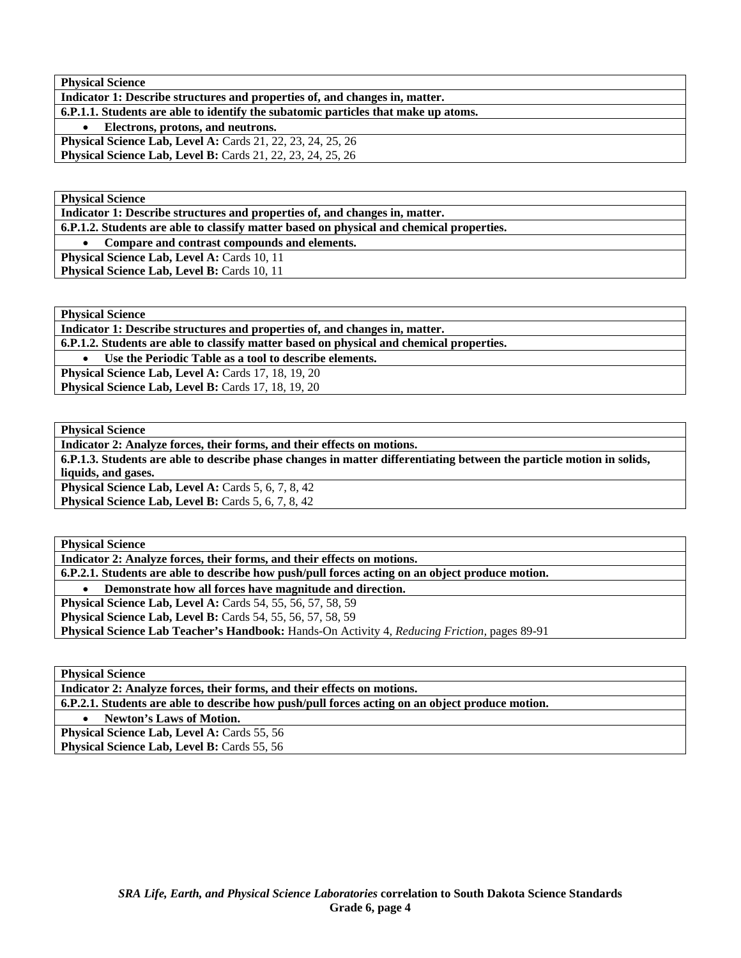| <b>Physical Science</b>                                                            |
|------------------------------------------------------------------------------------|
| Indicator 1: Describe structures and properties of, and changes in, matter.        |
| 6.P.1.1. Students are able to identify the subatomic particles that make up atoms. |
| • Electrons, protons, and neutrons.                                                |
| Physical Science Lab, Level A: Cards 21, 22, 23, 24, 25, 26                        |
| <b>Physical Science Lab, Level B:</b> Cards 21, 22, 23, 24, 25, 26                 |

**Physical Science** 

**Indicator 1: Describe structures and properties of, and changes in, matter.** 

**6.P.1.2. Students are able to classify matter based on physical and chemical properties.** 

• **Compare and contrast compounds and elements.** 

Physical Science Lab, Level A: Cards 10, 11 **Physical Science Lab, Level B: Cards 10, 11** 

**Physical Science** 

**Indicator 1: Describe structures and properties of, and changes in, matter.** 

**6.P.1.2. Students are able to classify matter based on physical and chemical properties.** 

• **Use the Periodic Table as a tool to describe elements.** 

**Physical Science Lab, Level A:** Cards 17, 18, 19, 20 **Physical Science Lab, Level B: Cards 17, 18, 19, 20** 

**Physical Science** 

**Indicator 2: Analyze forces, their forms, and their effects on motions.** 

**6.P.1.3. Students are able to describe phase changes in matter differentiating between the particle motion in solids, liquids, and gases.** 

**Physical Science Lab, Level A: Cards 5, 6, 7, 8, 42 Physical Science Lab, Level B:** Cards 5, 6, 7, 8, 42

**Physical Science** 

**Indicator 2: Analyze forces, their forms, and their effects on motions.** 

**6.P.2.1. Students are able to describe how push/pull forces acting on an object produce motion.** 

• **Demonstrate how all forces have magnitude and direction.** 

**Physical Science Lab, Level A: Cards 54, 55, 56, 57, 58, 59 Physical Science Lab, Level B:** Cards 54, 55, 56, 57, 58, 59

**Physical Science Lab Teacher's Handbook:** Hands-On Activity 4, *Reducing Friction,* pages 89-91

**Physical Science** 

**Indicator 2: Analyze forces, their forms, and their effects on motions.** 

**6.P.2.1. Students are able to describe how push/pull forces acting on an object produce motion.** 

• **Newton's Laws of Motion.** 

**Physical Science Lab, Level A: Cards 55, 56 Physical Science Lab, Level B: Cards 55, 56**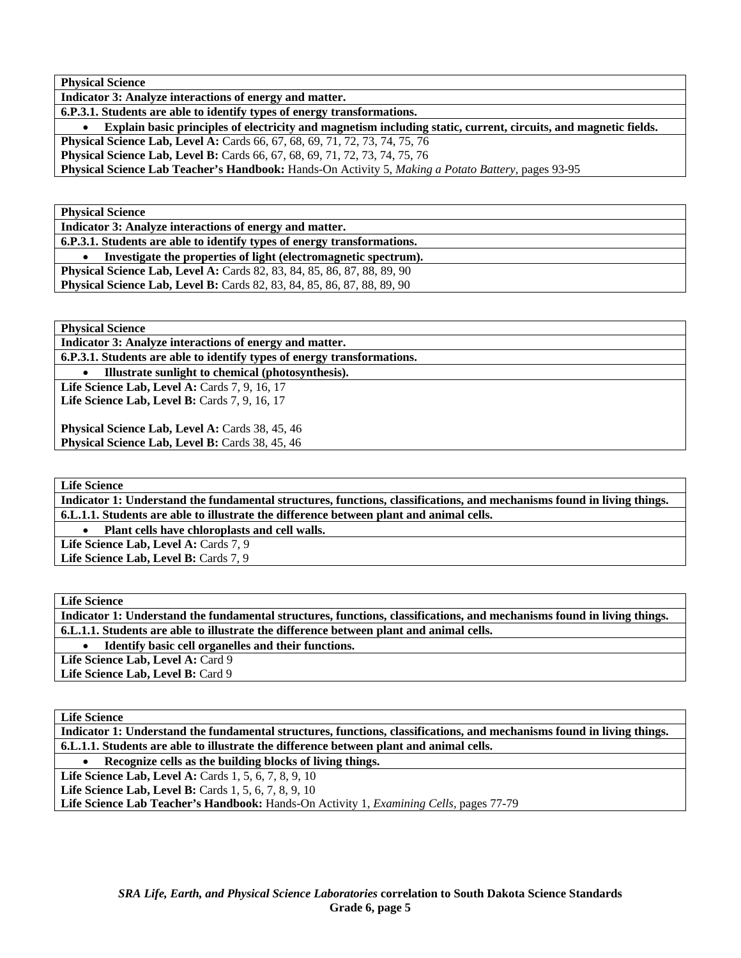**Physical Science** 

**Indicator 3: Analyze interactions of energy and matter.** 

**6.P.3.1. Students are able to identify types of energy transformations.** 

• **Explain basic principles of electricity and magnetism including static, current, circuits, and magnetic fields.** 

**Physical Science Lab, Level A:** Cards 66, 67, 68, 69, 71, 72, 73, 74, 75, 76

**Physical Science Lab, Level B:** Cards 66, 67, 68, 69, 71, 72, 73, 74, 75, 76

**Physical Science Lab Teacher's Handbook:** Hands-On Activity 5, *Making a Potato Battery,* pages 93-95

**Physical Science** 

**Indicator 3: Analyze interactions of energy and matter.** 

**6.P.3.1. Students are able to identify types of energy transformations.** 

• **Investigate the properties of light (electromagnetic spectrum). Physical Science Lab, Level A: Cards 82, 83, 84, 85, 86, 87, 88, 89, 90 Physical Science Lab, Level B:** Cards 82, 83, 84, 85, 86, 87, 88, 89, 90

**Physical Science** 

**Indicator 3: Analyze interactions of energy and matter.** 

**6.P.3.1. Students are able to identify types of energy transformations.** 

• **Illustrate sunlight to chemical (photosynthesis).** 

Life Science Lab, Level A: Cards 7, 9, 16, 17 Life Science Lab, Level B: Cards 7, 9, 16, 17

Physical Science Lab, Level A: Cards 38, 45, 46 Physical Science Lab, Level B: Cards 38, 45, 46

**Life Science** 

**Indicator 1: Understand the fundamental structures, functions, classifications, and mechanisms found in living things. 6.L.1.1. Students are able to illustrate the difference between plant and animal cells.** 

• **Plant cells have chloroplasts and cell walls.** 

Life Science Lab, Level A: Cards 7, 9 Life Science Lab, Level B: Cards 7, 9

**Life Science** 

**Indicator 1: Understand the fundamental structures, functions, classifications, and mechanisms found in living things. 6.L.1.1. Students are able to illustrate the difference between plant and animal cells.** 

• **Identify basic cell organelles and their functions.** 

Life Science Lab, Level A: Card 9

Life Science Lab, Level B: Card 9

**Life Science** 

**Indicator 1: Understand the fundamental structures, functions, classifications, and mechanisms found in living things. 6.L.1.1. Students are able to illustrate the difference between plant and animal cells.** 

• **Recognize cells as the building blocks of living things.** 

**Life Science Lab, Level A: Cards 1, 5, 6, 7, 8, 9, 10** 

**Life Science Lab, Level B:** Cards 1, 5, 6, 7, 8, 9, 10

**Life Science Lab Teacher's Handbook:** Hands-On Activity 1, *Examining Cells,* pages 77-79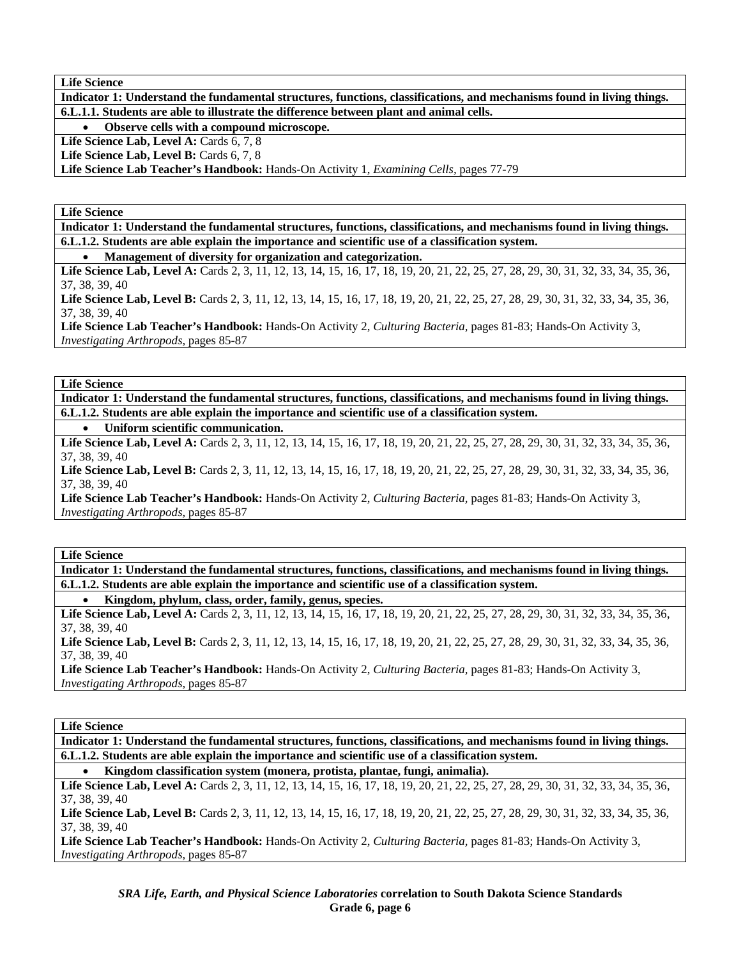**Indicator 1: Understand the fundamental structures, functions, classifications, and mechanisms found in living things. 6.L.1.1. Students are able to illustrate the difference between plant and animal cells.** 

• **Observe cells with a compound microscope.** 

Life Science Lab, Level A: Cards 6, 7, 8

Life Science Lab, Level B: Cards 6, 7, 8

**Life Science Lab Teacher's Handbook:** Hands-On Activity 1, *Examining Cells,* pages 77-79

**Life Science** 

**Indicator 1: Understand the fundamental structures, functions, classifications, and mechanisms found in living things. 6.L.1.2. Students are able explain the importance and scientific use of a classification system.** 

• **Management of diversity for organization and categorization.** 

Life Science Lab, Level A: Cards 2, 3, 11, 12, 13, 14, 15, 16, 17, 18, 19, 20, 21, 22, 25, 27, 28, 29, 30, 31, 32, 33, 34, 35, 36, 37, 38, 39, 40

Life Science Lab, Level B: Cards 2, 3, 11, 12, 13, 14, 15, 16, 17, 18, 19, 20, 21, 22, 25, 27, 28, 29, 30, 31, 32, 33, 34, 35, 36, 37, 38, 39, 40

**Life Science Lab Teacher's Handbook:** Hands-On Activity 2, *Culturing Bacteria,* pages 81-83; Hands-On Activity 3, *Investigating Arthropods,* pages 85-87

**Life Science** 

**Indicator 1: Understand the fundamental structures, functions, classifications, and mechanisms found in living things. 6.L.1.2. Students are able explain the importance and scientific use of a classification system.** 

• **Uniform scientific communication.** 

Life Science Lab, Level A: Cards 2, 3, 11, 12, 13, 14, 15, 16, 17, 18, 19, 20, 21, 22, 25, 27, 28, 29, 30, 31, 32, 33, 34, 35, 36, 37, 38, 39, 40

Life Science Lab, Level B: Cards 2, 3, 11, 12, 13, 14, 15, 16, 17, 18, 19, 20, 21, 22, 25, 27, 28, 29, 30, 31, 32, 33, 34, 35, 36, 37, 38, 39, 40

**Life Science Lab Teacher's Handbook:** Hands-On Activity 2, *Culturing Bacteria,* pages 81-83; Hands-On Activity 3, *Investigating Arthropods,* pages 85-87

**Life Science** 

**Indicator 1: Understand the fundamental structures, functions, classifications, and mechanisms found in living things. 6.L.1.2. Students are able explain the importance and scientific use of a classification system.** 

• **Kingdom, phylum, class, order, family, genus, species.** 

Life Science Lab, Level A: Cards 2, 3, 11, 12, 13, 14, 15, 16, 17, 18, 19, 20, 21, 22, 25, 27, 28, 29, 30, 31, 32, 33, 34, 35, 36, 37, 38, 39, 40

Life Science Lab, Level B: Cards 2, 3, 11, 12, 13, 14, 15, 16, 17, 18, 19, 20, 21, 22, 25, 27, 28, 29, 30, 31, 32, 33, 34, 35, 36, 37, 38, 39, 40

**Life Science Lab Teacher's Handbook:** Hands-On Activity 2, *Culturing Bacteria,* pages 81-83; Hands-On Activity 3, *Investigating Arthropods,* pages 85-87

**Life Science** 

**Indicator 1: Understand the fundamental structures, functions, classifications, and mechanisms found in living things. 6.L.1.2. Students are able explain the importance and scientific use of a classification system.** 

• **Kingdom classification system (monera, protista, plantae, fungi, animalia).** 

Life Science Lab, Level A: Cards 2, 3, 11, 12, 13, 14, 15, 16, 17, 18, 19, 20, 21, 22, 25, 27, 28, 29, 30, 31, 32, 33, 34, 35, 36, 37, 38, 39, 40

Life Science Lab, Level B: Cards 2, 3, 11, 12, 13, 14, 15, 16, 17, 18, 19, 20, 21, 22, 25, 27, 28, 29, 30, 31, 32, 33, 34, 35, 36, 37, 38, 39, 40

**Life Science Lab Teacher's Handbook:** Hands-On Activity 2, *Culturing Bacteria,* pages 81-83; Hands-On Activity 3, *Investigating Arthropods,* pages 85-87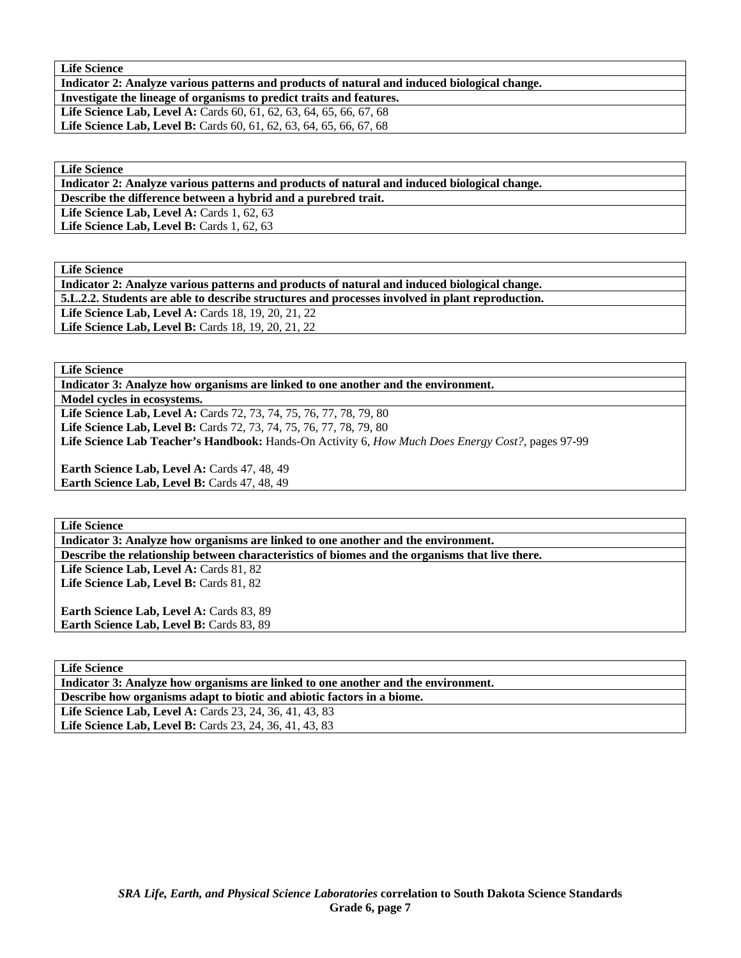**Indicator 2: Analyze various patterns and products of natural and induced biological change.** 

**Investigate the lineage of organisms to predict traits and features.** 

Life Science Lab, Level A: Cards 60, 61, 62, 63, 64, 65, 66, 67, 68 Life Science Lab, Level B: Cards 60, 61, 62, 63, 64, 65, 66, 67, 68

**Life Science** 

**Indicator 2: Analyze various patterns and products of natural and induced biological change.** 

**Describe the difference between a hybrid and a purebred trait.** 

Life Science Lab, Level A: Cards 1, 62, 63

Life Science Lab, Level B: Cards 1, 62, 63

**Life Science** 

**Indicator 2: Analyze various patterns and products of natural and induced biological change. 5.L.2.2. Students are able to describe structures and processes involved in plant reproduction. Life Science Lab, Level A: Cards 18, 19, 20, 21, 22** Life Science Lab, Level B: Cards 18, 19, 20, 21, 22

**Life Science** 

**Indicator 3: Analyze how organisms are linked to one another and the environment.** 

**Model cycles in ecosystems.** 

Life Science Lab, Level A: Cards 72, 73, 74, 75, 76, 77, 78, 79, 80 **Life Science Lab, Level B:** Cards 72, 73, 74, 75, 76, 77, 78, 79, 80 **Life Science Lab Teacher's Handbook:** Hands-On Activity 6, *How Much Does Energy Cost?,* pages 97-99

Earth Science Lab, Level A: Cards 47, 48, 49 **Earth Science Lab, Level B:** Cards 47, 48, 49

**Life Science** 

**Indicator 3: Analyze how organisms are linked to one another and the environment.** 

**Describe the relationship between characteristics of biomes and the organisms that live there.** 

Life Science Lab, Level A: Cards 81, 82 Life Science Lab, Level B: Cards 81, 82

Earth Science Lab, Level A: Cards 83, 89 Earth Science Lab, Level B: Cards 83, 89

**Life Science Indicator 3: Analyze how organisms are linked to one another and the environment. Describe how organisms adapt to biotic and abiotic factors in a biome.**  Life Science Lab, Level A: Cards 23, 24, 36, 41, 43, 83 Life Science Lab, Level B: Cards 23, 24, 36, 41, 43, 83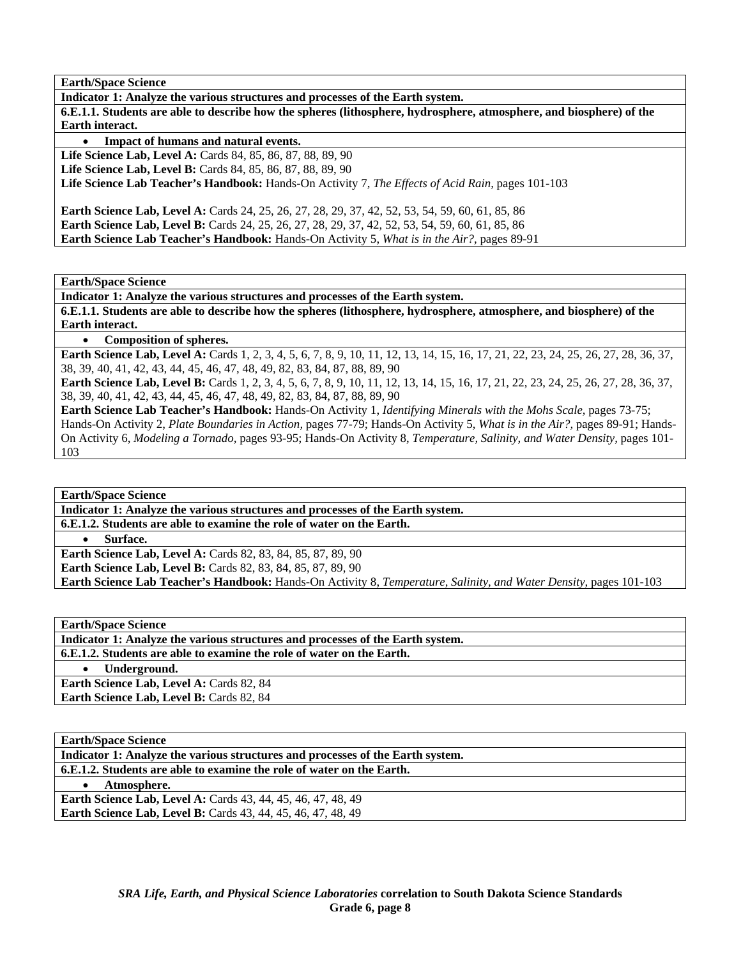**Indicator 1: Analyze the various structures and processes of the Earth system.** 

**6.E.1.1. Students are able to describe how the spheres (lithosphere, hydrosphere, atmosphere, and biosphere) of the Earth interact.** 

• **Impact of humans and natural events.** 

**Life Science Lab, Level A:** Cards 84, 85, 86, 87, 88, 89, 90

**Life Science Lab, Level B:** Cards 84, 85, 86, 87, 88, 89, 90

**Life Science Lab Teacher's Handbook:** Hands-On Activity 7, *The Effects of Acid Rain,* pages 101-103

**Earth Science Lab, Level A:** Cards 24, 25, 26, 27, 28, 29, 37, 42, 52, 53, 54, 59, 60, 61, 85, 86 **Earth Science Lab, Level B:** Cards 24, 25, 26, 27, 28, 29, 37, 42, 52, 53, 54, 59, 60, 61, 85, 86 **Earth Science Lab Teacher's Handbook:** Hands-On Activity 5, *What is in the Air?,* pages 89-91

**Earth/Space Science** 

**Indicator 1: Analyze the various structures and processes of the Earth system.** 

**6.E.1.1. Students are able to describe how the spheres (lithosphere, hydrosphere, atmosphere, and biosphere) of the Earth interact.** 

• **Composition of spheres.** 

**Earth Science Lab, Level A:** Cards 1, 2, 3, 4, 5, 6, 7, 8, 9, 10, 11, 12, 13, 14, 15, 16, 17, 21, 22, 23, 24, 25, 26, 27, 28, 36, 37, 38, 39, 40, 41, 42, 43, 44, 45, 46, 47, 48, 49, 82, 83, 84, 87, 88, 89, 90

**Earth Science Lab, Level B:** Cards 1, 2, 3, 4, 5, 6, 7, 8, 9, 10, 11, 12, 13, 14, 15, 16, 17, 21, 22, 23, 24, 25, 26, 27, 28, 36, 37, 38, 39, 40, 41, 42, 43, 44, 45, 46, 47, 48, 49, 82, 83, 84, 87, 88, 89, 90

**Earth Science Lab Teacher's Handbook:** Hands-On Activity 1, *Identifying Minerals with the Mohs Scale,* pages 73-75; Hands-On Activity 2, *Plate Boundaries in Action,* pages 77-79; Hands-On Activity 5, *What is in the Air?,* pages 89-91; Hands-On Activity 6, *Modeling a Tornado,* pages 93-95; Hands-On Activity 8, *Temperature, Salinity, and Water Density,* pages 101- 103

**Earth/Space Science** 

**Indicator 1: Analyze the various structures and processes of the Earth system. 6.E.1.2. Students are able to examine the role of water on the Earth.** 

• **Surface.** 

**Earth Science Lab, Level A:** Cards 82, 83, 84, 85, 87, 89, 90 **Earth Science Lab, Level B:** Cards 82, 83, 84, 85, 87, 89, 90 **Earth Science Lab Teacher's Handbook:** Hands-On Activity 8, *Temperature, Salinity, and Water Density,* pages 101-103

**Earth/Space Science** 

**Indicator 1: Analyze the various structures and processes of the Earth system.** 

**6.E.1.2. Students are able to examine the role of water on the Earth.** 

• **Underground.** 

**Earth Science Lab, Level A: Cards 82, 84** Earth Science Lab, Level B: Cards 82, 84

**Earth/Space Science** 

| Indicator 1: Analyze the various structures and processes of the Earth system. |
|--------------------------------------------------------------------------------|
| 6.E.1.2. Students are able to examine the role of water on the Earth.          |
| Atmosphere.                                                                    |
| <b>Earth Science Lab, Level A: Cards 43, 44, 45, 46, 47, 48, 49</b>            |
| <b>Earth Science Lab, Level B:</b> Cards 43, 44, 45, 46, 47, 48, 49            |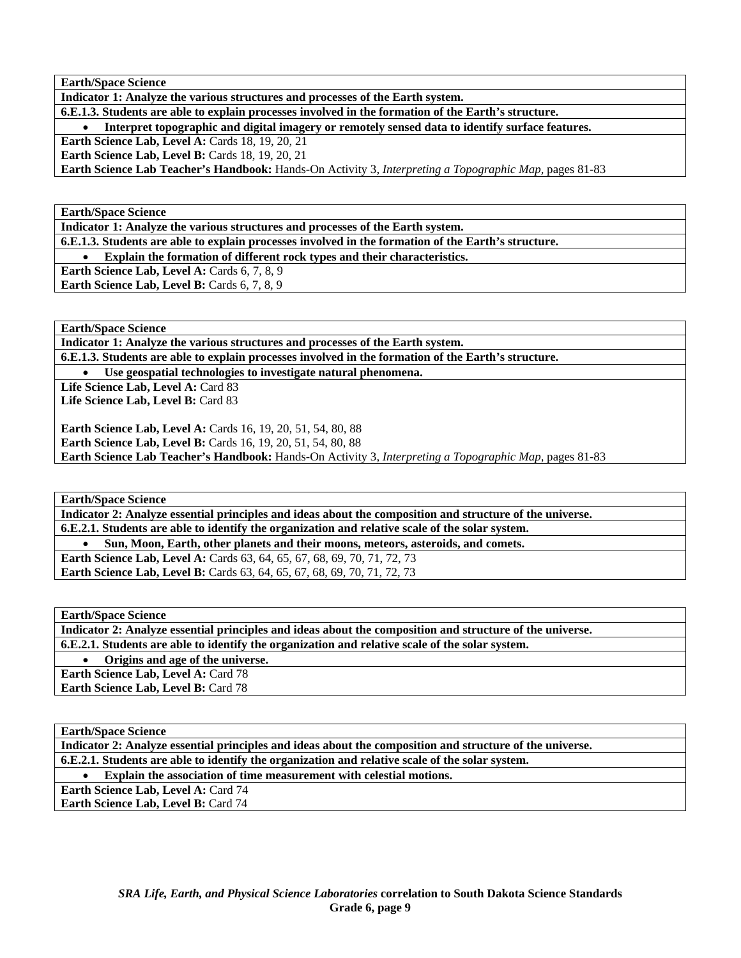**Indicator 1: Analyze the various structures and processes of the Earth system.** 

**6.E.1.3. Students are able to explain processes involved in the formation of the Earth's structure.** 

• **Interpret topographic and digital imagery or remotely sensed data to identify surface features.** 

**Earth Science Lab, Level A: Cards 18, 19, 20, 21** 

**Earth Science Lab, Level B: Cards 18, 19, 20, 21** 

**Earth Science Lab Teacher's Handbook:** Hands-On Activity 3, *Interpreting a Topographic Map,* pages 81-83

**Earth/Space Science** 

**Indicator 1: Analyze the various structures and processes of the Earth system.** 

**6.E.1.3. Students are able to explain processes involved in the formation of the Earth's structure.** 

• **Explain the formation of different rock types and their characteristics.** 

**Earth Science Lab, Level A: Cards 6, 7, 8, 9** 

**Earth Science Lab, Level B:** Cards 6, 7, 8, 9

**Earth/Space Science** 

**Indicator 1: Analyze the various structures and processes of the Earth system.** 

**6.E.1.3. Students are able to explain processes involved in the formation of the Earth's structure.** 

Use geospatial technologies to investigate natural phenomena.

Life Science Lab, Level A: Card 83 Life Science Lab, Level B: Card 83

**Earth Science Lab, Level A: Cards 16, 19, 20, 51, 54, 80, 88 Earth Science Lab, Level B:** Cards 16, 19, 20, 51, 54, 80, 88 **Earth Science Lab Teacher's Handbook:** Hands-On Activity 3, *Interpreting a Topographic Map,* pages 81-83

**Earth/Space Science** 

**Indicator 2: Analyze essential principles and ideas about the composition and structure of the universe. 6.E.2.1. Students are able to identify the organization and relative scale of the solar system.** 

• **Sun, Moon, Earth, other planets and their moons, meteors, asteroids, and comets.** 

**Earth Science Lab, Level A: Cards 63, 64, 65, 67, 68, 69, 70, 71, 72, 73 Earth Science Lab, Level B:** Cards 63, 64, 65, 67, 68, 69, 70, 71, 72, 73

**Earth/Space Science** 

**Indicator 2: Analyze essential principles and ideas about the composition and structure of the universe. 6.E.2.1. Students are able to identify the organization and relative scale of the solar system.** 

• **Origins and age of the universe.** 

**Earth Science Lab, Level A: Card 78** 

Earth Science Lab, Level B: Card 78

**Earth/Space Science** 

**Indicator 2: Analyze essential principles and ideas about the composition and structure of the universe.** 

**6.E.2.1. Students are able to identify the organization and relative scale of the solar system.** 

• **Explain the association of time measurement with celestial motions.** 

**Earth Science Lab, Level A: Card 74** 

**Earth Science Lab, Level B: Card 74**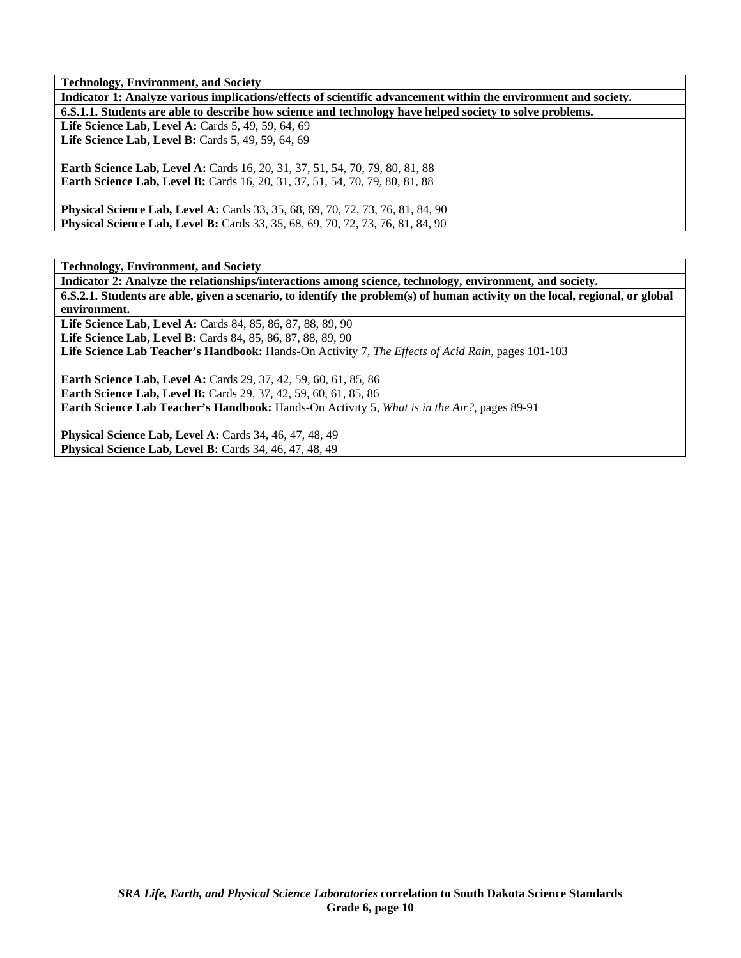**Technology, Environment, and Society** 

**Indicator 1: Analyze various implications/effects of scientific advancement within the environment and society. 6.S.1.1. Students are able to describe how science and technology have helped society to solve problems.**  Life Science Lab, Level A: Cards 5, 49, 59, 64, 69 Life Science Lab, Level B: Cards 5, 49, 59, 64, 69 **Earth Science Lab, Level A: Cards 16, 20, 31, 37, 51, 54, 70, 79, 80, 81, 88** 

**Earth Science Lab, Level B:** Cards 16, 20, 31, 37, 51, 54, 70, 79, 80, 81, 88

**Physical Science Lab, Level A:** Cards 33, 35, 68, 69, 70, 72, 73, 76, 81, 84, 90 **Physical Science Lab, Level B:** Cards 33, 35, 68, 69, 70, 72, 73, 76, 81, 84, 90

**Technology, Environment, and Society** 

**Indicator 2: Analyze the relationships/interactions among science, technology, environment, and society. 6.S.2.1. Students are able, given a scenario, to identify the problem(s) of human activity on the local, regional, or global environment.** 

**Life Science Lab, Level A:** Cards 84, 85, 86, 87, 88, 89, 90

**Life Science Lab, Level B:** Cards 84, 85, 86, 87, 88, 89, 90

**Life Science Lab Teacher's Handbook:** Hands-On Activity 7, *The Effects of Acid Rain,* pages 101-103

**Earth Science Lab, Level A:** Cards 29, 37, 42, 59, 60, 61, 85, 86 **Earth Science Lab, Level B:** Cards 29, 37, 42, 59, 60, 61, 85, 86 **Earth Science Lab Teacher's Handbook:** Hands-On Activity 5, *What is in the Air?,* pages 89-91

**Physical Science Lab, Level A:** Cards 34, 46, 47, 48, 49 **Physical Science Lab, Level B:** Cards 34, 46, 47, 48, 49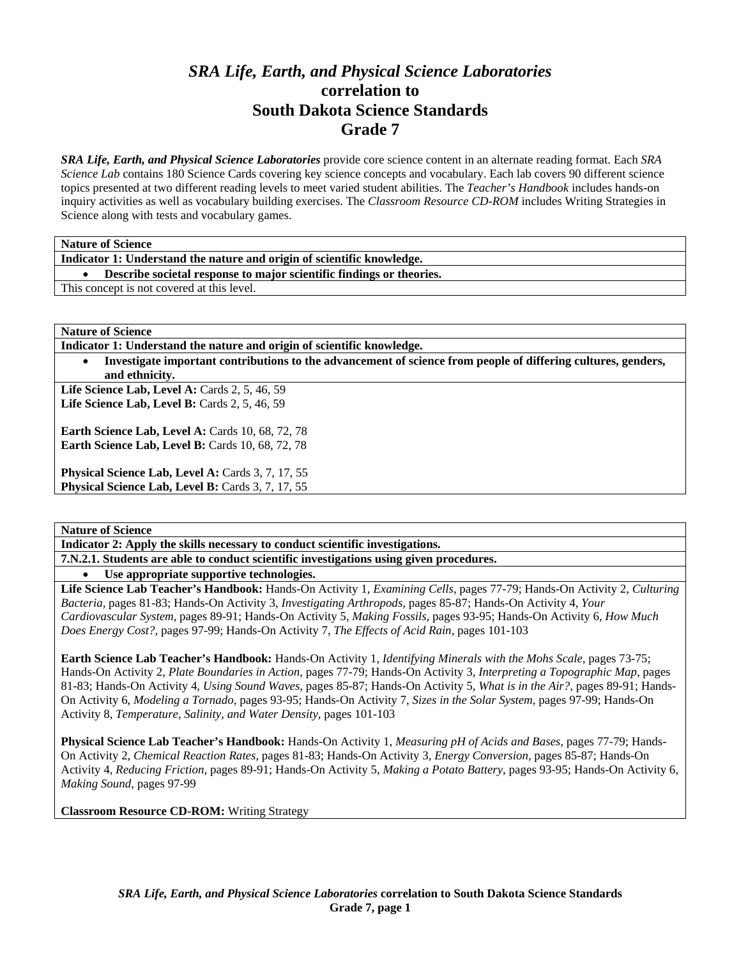# *SRA Life, Earth, and Physical Science Laboratories*  **correlation to South Dakota Science Standards Grade 7**

*SRA Life, Earth, and Physical Science Laboratories* provide core science content in an alternate reading format. Each *SRA Science Lab* contains 180 Science Cards covering key science concepts and vocabulary. Each lab covers 90 different science topics presented at two different reading levels to meet varied student abilities. The *Teacher's Handbook* includes hands-on inquiry activities as well as vocabulary building exercises. The *Classroom Resource CD-ROM* includes Writing Strategies in Science along with tests and vocabulary games.

| <b>Nature of Science</b> |
|--------------------------|
|--------------------------|

**Indicator 1: Understand the nature and origin of scientific knowledge.** 

• **Describe societal response to major scientific findings or theories.** 

This concept is not covered at this level.

**Nature of Science** 

**Indicator 1: Understand the nature and origin of scientific knowledge.** 

• **Investigate important contributions to the advancement of science from people of differing cultures, genders, and ethnicity.** 

**Life Science Lab, Level A:** Cards 2, 5, 46, 59 Life Science Lab, Level B: Cards 2, 5, 46, 59

**Earth Science Lab, Level A: Cards 10, 68, 72, 78 Earth Science Lab, Level B: Cards 10, 68, 72, 78** 

Physical Science Lab, Level A: Cards 3, 7, 17, 55 Physical Science Lab, Level B: Cards 3, 7, 17, 55

**Nature of Science** 

**Indicator 2: Apply the skills necessary to conduct scientific investigations.** 

**7.N.2.1. Students are able to conduct scientific investigations using given procedures.** 

• **Use appropriate supportive technologies.** 

**Life Science Lab Teacher's Handbook:** Hands-On Activity 1, *Examining Cells,* pages 77-79; Hands-On Activity 2, *Culturing Bacteria,* pages 81-83; Hands-On Activity 3, *Investigating Arthropods,* pages 85-87; Hands-On Activity 4, *Your Cardiovascular System,* pages 89-91; Hands-On Activity 5, *Making Fossils,* pages 93-95; Hands-On Activity 6, *How Much Does Energy Cost?,* pages 97-99; Hands-On Activity 7, *The Effects of Acid Rain,* pages 101-103

**Earth Science Lab Teacher's Handbook:** Hands-On Activity 1, *Identifying Minerals with the Mohs Scale,* pages 73-75; Hands-On Activity 2, *Plate Boundaries in Action,* pages 77-79; Hands-On Activity 3, *Interpreting a Topographic Map,* pages 81-83; Hands-On Activity 4, *Using Sound Waves,* pages 85-87; Hands-On Activity 5, *What is in the Air?,* pages 89-91; Hands-On Activity 6, *Modeling a Tornado,* pages 93-95; Hands-On Activity 7, *Sizes in the Solar System,* pages 97-99; Hands-On Activity 8, *Temperature, Salinity, and Water Density,* pages 101-103

**Physical Science Lab Teacher's Handbook:** Hands-On Activity 1, *Measuring pH of Acids and Bases,* pages 77-79; Hands-On Activity 2, *Chemical Reaction Rates,* pages 81-83; Hands-On Activity 3, *Energy Conversion,* pages 85-87; Hands-On Activity 4, *Reducing Friction,* pages 89-91; Hands-On Activity 5, *Making a Potato Battery,* pages 93-95; Hands-On Activity 6, *Making Sound,* pages 97-99

**Classroom Resource CD-ROM:** Writing Strategy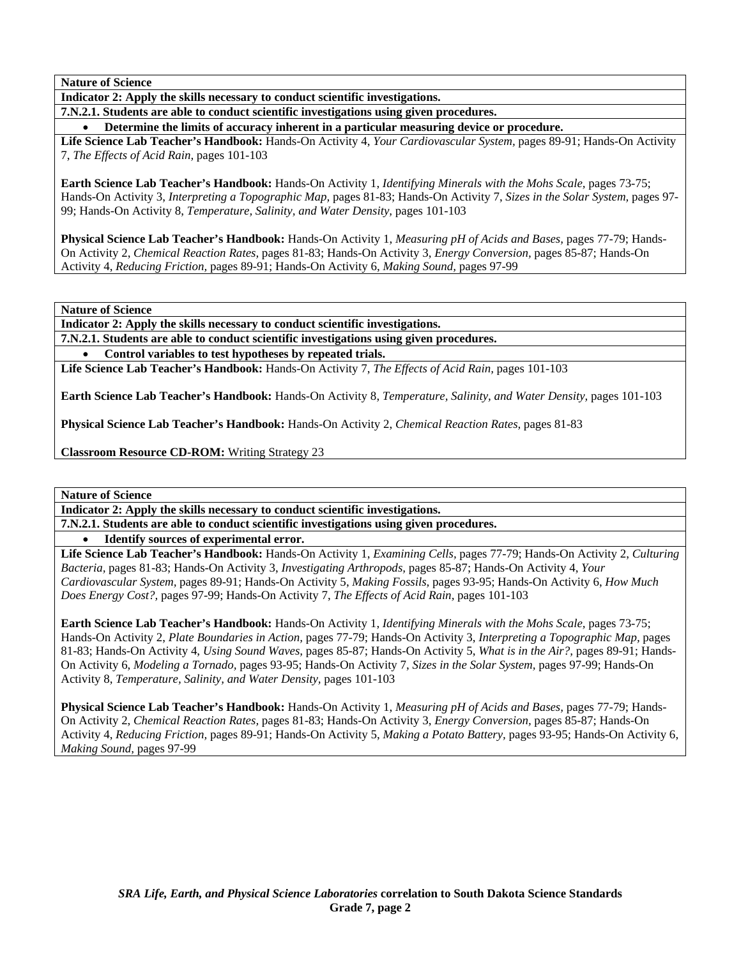**Indicator 2: Apply the skills necessary to conduct scientific investigations.** 

**7.N.2.1. Students are able to conduct scientific investigations using given procedures.** 

• **Determine the limits of accuracy inherent in a particular measuring device or procedure.** 

**Life Science Lab Teacher's Handbook:** Hands-On Activity 4, *Your Cardiovascular System,* pages 89-91; Hands-On Activity 7, *The Effects of Acid Rain,* pages 101-103

**Earth Science Lab Teacher's Handbook:** Hands-On Activity 1, *Identifying Minerals with the Mohs Scale,* pages 73-75; Hands-On Activity 3, *Interpreting a Topographic Map,* pages 81-83; Hands-On Activity 7, *Sizes in the Solar System,* pages 97- 99; Hands-On Activity 8, *Temperature, Salinity, and Water Density,* pages 101-103

**Physical Science Lab Teacher's Handbook:** Hands-On Activity 1, *Measuring pH of Acids and Bases,* pages 77-79; Hands-On Activity 2, *Chemical Reaction Rates,* pages 81-83; Hands-On Activity 3, *Energy Conversion,* pages 85-87; Hands-On Activity 4, *Reducing Friction,* pages 89-91; Hands-On Activity 6, *Making Sound,* pages 97-99

**Nature of Science** 

**Indicator 2: Apply the skills necessary to conduct scientific investigations.** 

**7.N.2.1. Students are able to conduct scientific investigations using given procedures.** 

• **Control variables to test hypotheses by repeated trials.** 

**Life Science Lab Teacher's Handbook:** Hands-On Activity 7, *The Effects of Acid Rain,* pages 101-103

**Earth Science Lab Teacher's Handbook:** Hands-On Activity 8, *Temperature, Salinity, and Water Density,* pages 101-103

**Physical Science Lab Teacher's Handbook:** Hands-On Activity 2, *Chemical Reaction Rates,* pages 81-83

**Classroom Resource CD-ROM:** Writing Strategy 23

**Nature of Science** 

**Indicator 2: Apply the skills necessary to conduct scientific investigations.** 

**7.N.2.1. Students are able to conduct scientific investigations using given procedures.** 

• **Identify sources of experimental error.** 

**Life Science Lab Teacher's Handbook:** Hands-On Activity 1, *Examining Cells,* pages 77-79; Hands-On Activity 2, *Culturing Bacteria,* pages 81-83; Hands-On Activity 3, *Investigating Arthropods,* pages 85-87; Hands-On Activity 4, *Your Cardiovascular System,* pages 89-91; Hands-On Activity 5, *Making Fossils,* pages 93-95; Hands-On Activity 6, *How Much Does Energy Cost?,* pages 97-99; Hands-On Activity 7, *The Effects of Acid Rain,* pages 101-103

**Earth Science Lab Teacher's Handbook:** Hands-On Activity 1, *Identifying Minerals with the Mohs Scale,* pages 73-75; Hands-On Activity 2, *Plate Boundaries in Action,* pages 77-79; Hands-On Activity 3, *Interpreting a Topographic Map,* pages 81-83; Hands-On Activity 4, *Using Sound Waves,* pages 85-87; Hands-On Activity 5, *What is in the Air?,* pages 89-91; Hands-On Activity 6, *Modeling a Tornado,* pages 93-95; Hands-On Activity 7, *Sizes in the Solar System,* pages 97-99; Hands-On Activity 8, *Temperature, Salinity, and Water Density,* pages 101-103

**Physical Science Lab Teacher's Handbook:** Hands-On Activity 1, *Measuring pH of Acids and Bases,* pages 77-79; Hands-On Activity 2, *Chemical Reaction Rates,* pages 81-83; Hands-On Activity 3, *Energy Conversion,* pages 85-87; Hands-On Activity 4, *Reducing Friction,* pages 89-91; Hands-On Activity 5, *Making a Potato Battery,* pages 93-95; Hands-On Activity 6, *Making Sound,* pages 97-99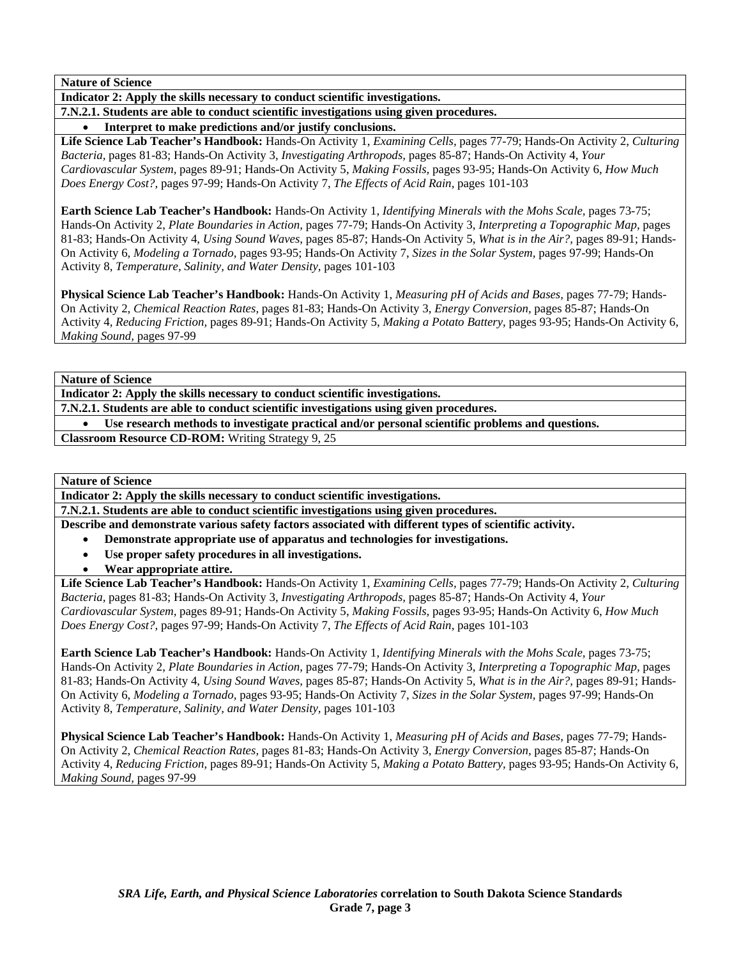**Indicator 2: Apply the skills necessary to conduct scientific investigations.** 

**7.N.2.1. Students are able to conduct scientific investigations using given procedures.** 

• **Interpret to make predictions and/or justify conclusions.** 

**Life Science Lab Teacher's Handbook:** Hands-On Activity 1, *Examining Cells,* pages 77-79; Hands-On Activity 2, *Culturing Bacteria,* pages 81-83; Hands-On Activity 3, *Investigating Arthropods,* pages 85-87; Hands-On Activity 4, *Your Cardiovascular System,* pages 89-91; Hands-On Activity 5, *Making Fossils,* pages 93-95; Hands-On Activity 6, *How Much Does Energy Cost?,* pages 97-99; Hands-On Activity 7, *The Effects of Acid Rain,* pages 101-103

**Earth Science Lab Teacher's Handbook:** Hands-On Activity 1, *Identifying Minerals with the Mohs Scale,* pages 73-75; Hands-On Activity 2, *Plate Boundaries in Action,* pages 77-79; Hands-On Activity 3, *Interpreting a Topographic Map,* pages 81-83; Hands-On Activity 4, *Using Sound Waves,* pages 85-87; Hands-On Activity 5, *What is in the Air?,* pages 89-91; Hands-On Activity 6, *Modeling a Tornado,* pages 93-95; Hands-On Activity 7, *Sizes in the Solar System,* pages 97-99; Hands-On Activity 8, *Temperature, Salinity, and Water Density,* pages 101-103

**Physical Science Lab Teacher's Handbook:** Hands-On Activity 1, *Measuring pH of Acids and Bases,* pages 77-79; Hands-On Activity 2, *Chemical Reaction Rates,* pages 81-83; Hands-On Activity 3, *Energy Conversion,* pages 85-87; Hands-On Activity 4, *Reducing Friction,* pages 89-91; Hands-On Activity 5, *Making a Potato Battery,* pages 93-95; Hands-On Activity 6, *Making Sound,* pages 97-99

**Nature of Science** 

**Indicator 2: Apply the skills necessary to conduct scientific investigations.** 

**7.N.2.1. Students are able to conduct scientific investigations using given procedures.** 

• **Use research methods to investigate practical and/or personal scientific problems and questions.** 

**Classroom Resource CD-ROM:** Writing Strategy 9, 25

**Nature of Science** 

**Indicator 2: Apply the skills necessary to conduct scientific investigations.** 

**7.N.2.1. Students are able to conduct scientific investigations using given procedures.** 

**Describe and demonstrate various safety factors associated with different types of scientific activity.** 

- **Demonstrate appropriate use of apparatus and technologies for investigations.**
- **Use proper safety procedures in all investigations.**
- **Wear appropriate attire.**

**Life Science Lab Teacher's Handbook:** Hands-On Activity 1, *Examining Cells,* pages 77-79; Hands-On Activity 2, *Culturing Bacteria,* pages 81-83; Hands-On Activity 3, *Investigating Arthropods,* pages 85-87; Hands-On Activity 4, *Your Cardiovascular System,* pages 89-91; Hands-On Activity 5, *Making Fossils,* pages 93-95; Hands-On Activity 6, *How Much Does Energy Cost?,* pages 97-99; Hands-On Activity 7, *The Effects of Acid Rain,* pages 101-103

**Earth Science Lab Teacher's Handbook:** Hands-On Activity 1, *Identifying Minerals with the Mohs Scale,* pages 73-75; Hands-On Activity 2, *Plate Boundaries in Action,* pages 77-79; Hands-On Activity 3, *Interpreting a Topographic Map,* pages 81-83; Hands-On Activity 4, *Using Sound Waves,* pages 85-87; Hands-On Activity 5, *What is in the Air?,* pages 89-91; Hands-On Activity 6, *Modeling a Tornado,* pages 93-95; Hands-On Activity 7, *Sizes in the Solar System,* pages 97-99; Hands-On Activity 8, *Temperature, Salinity, and Water Density,* pages 101-103

**Physical Science Lab Teacher's Handbook:** Hands-On Activity 1, *Measuring pH of Acids and Bases,* pages 77-79; Hands-On Activity 2, *Chemical Reaction Rates,* pages 81-83; Hands-On Activity 3, *Energy Conversion,* pages 85-87; Hands-On Activity 4, *Reducing Friction,* pages 89-91; Hands-On Activity 5, *Making a Potato Battery,* pages 93-95; Hands-On Activity 6, *Making Sound,* pages 97-99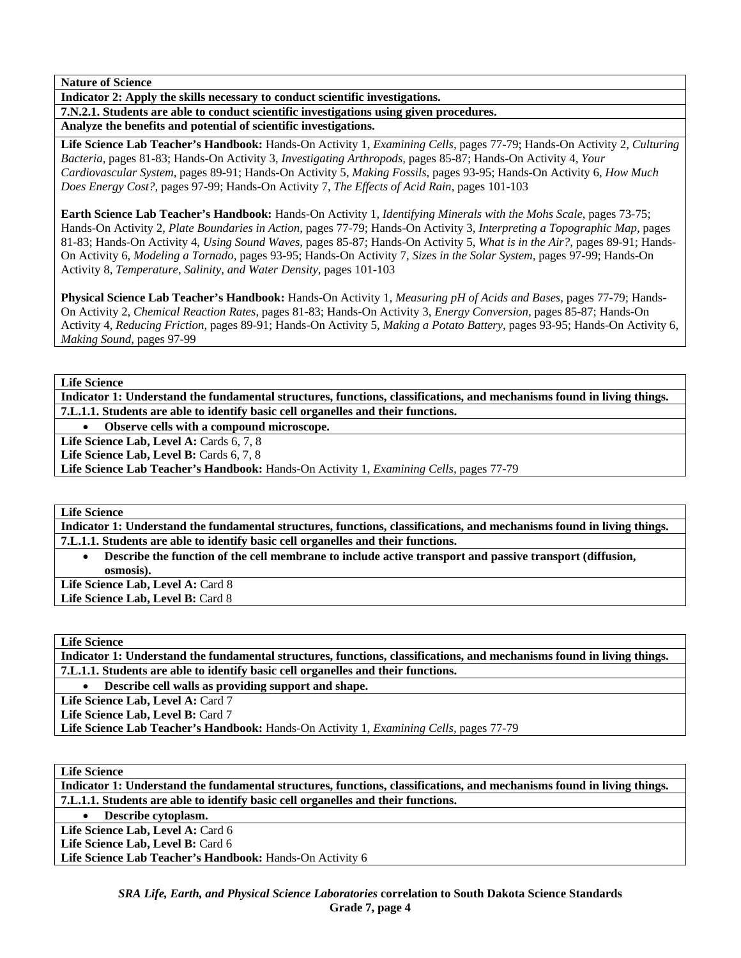**Indicator 2: Apply the skills necessary to conduct scientific investigations.** 

**7.N.2.1. Students are able to conduct scientific investigations using given procedures. Analyze the benefits and potential of scientific investigations.** 

**Life Science Lab Teacher's Handbook:** Hands-On Activity 1, *Examining Cells,* pages 77-79; Hands-On Activity 2, *Culturing Bacteria,* pages 81-83; Hands-On Activity 3, *Investigating Arthropods,* pages 85-87; Hands-On Activity 4, *Your Cardiovascular System,* pages 89-91; Hands-On Activity 5, *Making Fossils,* pages 93-95; Hands-On Activity 6, *How Much Does Energy Cost?,* pages 97-99; Hands-On Activity 7, *The Effects of Acid Rain,* pages 101-103

**Earth Science Lab Teacher's Handbook:** Hands-On Activity 1, *Identifying Minerals with the Mohs Scale,* pages 73-75; Hands-On Activity 2, *Plate Boundaries in Action,* pages 77-79; Hands-On Activity 3, *Interpreting a Topographic Map,* pages 81-83; Hands-On Activity 4, *Using Sound Waves,* pages 85-87; Hands-On Activity 5, *What is in the Air?,* pages 89-91; Hands-On Activity 6, *Modeling a Tornado,* pages 93-95; Hands-On Activity 7, *Sizes in the Solar System,* pages 97-99; Hands-On Activity 8, *Temperature, Salinity, and Water Density,* pages 101-103

**Physical Science Lab Teacher's Handbook:** Hands-On Activity 1, *Measuring pH of Acids and Bases,* pages 77-79; Hands-On Activity 2, *Chemical Reaction Rates,* pages 81-83; Hands-On Activity 3, *Energy Conversion,* pages 85-87; Hands-On Activity 4, *Reducing Friction,* pages 89-91; Hands-On Activity 5, *Making a Potato Battery,* pages 93-95; Hands-On Activity 6, *Making Sound,* pages 97-99

**Life Science** 

**Indicator 1: Understand the fundamental structures, functions, classifications, and mechanisms found in living things. 7.L.1.1. Students are able to identify basic cell organelles and their functions.** 

• **Observe cells with a compound microscope.** 

Life Science Lab, Level A: Cards 6, 7, 8

Life Science Lab, Level B: Cards 6, 7, 8

**Life Science Lab Teacher's Handbook:** Hands-On Activity 1, *Examining Cells,* pages 77-79

**Life Science** 

**Indicator 1: Understand the fundamental structures, functions, classifications, and mechanisms found in living things. 7.L.1.1. Students are able to identify basic cell organelles and their functions.** 

• **Describe the function of the cell membrane to include active transport and passive transport (diffusion, osmosis).** 

Life Science Lab, Level A: Card 8 Life Science Lab, Level B: Card 8

**Life Science** 

**Indicator 1: Understand the fundamental structures, functions, classifications, and mechanisms found in living things. 7.L.1.1. Students are able to identify basic cell organelles and their functions.** 

• **Describe cell walls as providing support and shape.** 

Life Science Lab, Level A: Card 7

Life Science Lab, Level B: Card 7

**Life Science Lab Teacher's Handbook:** Hands-On Activity 1, *Examining Cells,* pages 77-79

**Life Science** 

**Indicator 1: Understand the fundamental structures, functions, classifications, and mechanisms found in living things. 7.L.1.1. Students are able to identify basic cell organelles and their functions.** 

• **Describe cytoplasm.**  Life Science Lab, Level A: Card 6 Life Science Lab, Level B: Card 6

**Life Science Lab Teacher's Handbook:** Hands-On Activity 6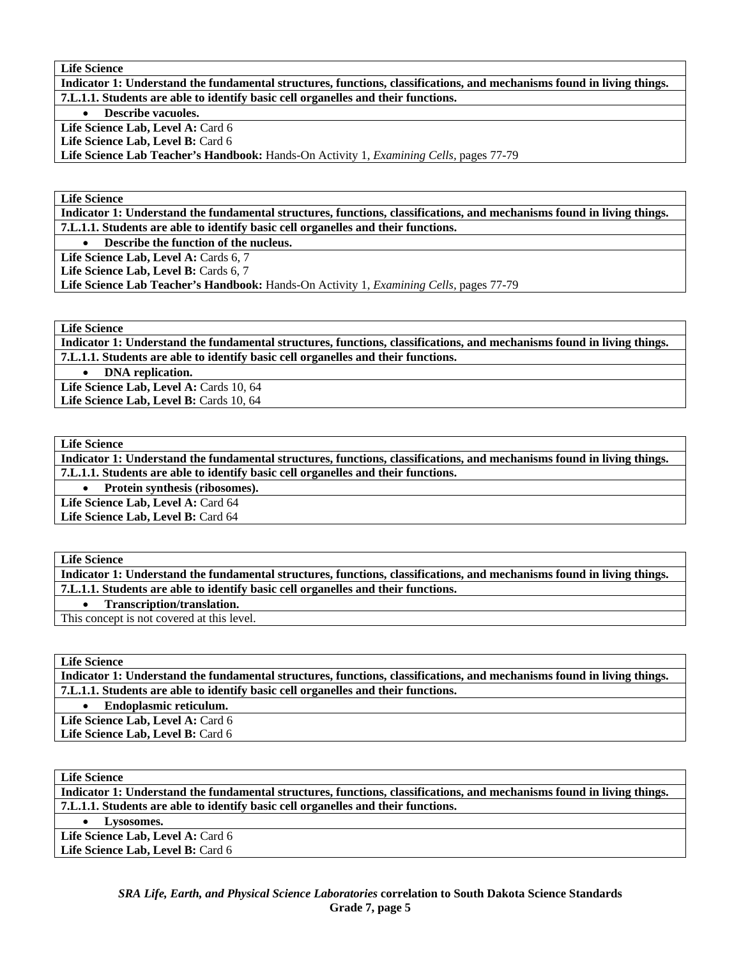**Indicator 1: Understand the fundamental structures, functions, classifications, and mechanisms found in living things. 7.L.1.1. Students are able to identify basic cell organelles and their functions.** 

• **Describe vacuoles.** 

Life Science Lab, Level A: Card 6

Life Science Lab, Level B: Card 6

**Life Science Lab Teacher's Handbook:** Hands-On Activity 1, *Examining Cells,* pages 77-79

**Life Science** 

**Indicator 1: Understand the fundamental structures, functions, classifications, and mechanisms found in living things. 7.L.1.1. Students are able to identify basic cell organelles and their functions.** 

• **Describe the function of the nucleus.** 

Life Science Lab, Level A: Cards 6, 7

Life Science Lab, Level B: Cards 6, 7

**Life Science Lab Teacher's Handbook:** Hands-On Activity 1, *Examining Cells,* pages 77-79

**Life Science** 

**Indicator 1: Understand the fundamental structures, functions, classifications, and mechanisms found in living things. 7.L.1.1. Students are able to identify basic cell organelles and their functions.** 

• **DNA replication.** 

Life Science Lab, Level A: Cards 10, 64 Life Science Lab, Level B: Cards 10, 64

**Life Science** 

**Indicator 1: Understand the fundamental structures, functions, classifications, and mechanisms found in living things. 7.L.1.1. Students are able to identify basic cell organelles and their functions.** 

• **Protein synthesis (ribosomes).** 

Life Science Lab, Level A: Card 64

Life Science Lab, Level B: Card 64

#### **Life Science**

**Indicator 1: Understand the fundamental structures, functions, classifications, and mechanisms found in living things. 7.L.1.1. Students are able to identify basic cell organelles and their functions.** 

• **Transcription/translation.** 

This concept is not covered at this level.

**Life Science** 

**Indicator 1: Understand the fundamental structures, functions, classifications, and mechanisms found in living things. 7.L.1.1. Students are able to identify basic cell organelles and their functions.** 

• **Endoplasmic reticulum.** 

Life Science Lab, Level A: Card 6

Life Science Lab, Level B: Card 6

**Life Science** 

**Indicator 1: Understand the fundamental structures, functions, classifications, and mechanisms found in living things. 7.L.1.1. Students are able to identify basic cell organelles and their functions.** 

• **Lysosomes.** 

Life Science Lab, Level A: Card 6 Life Science Lab, Level B: Card 6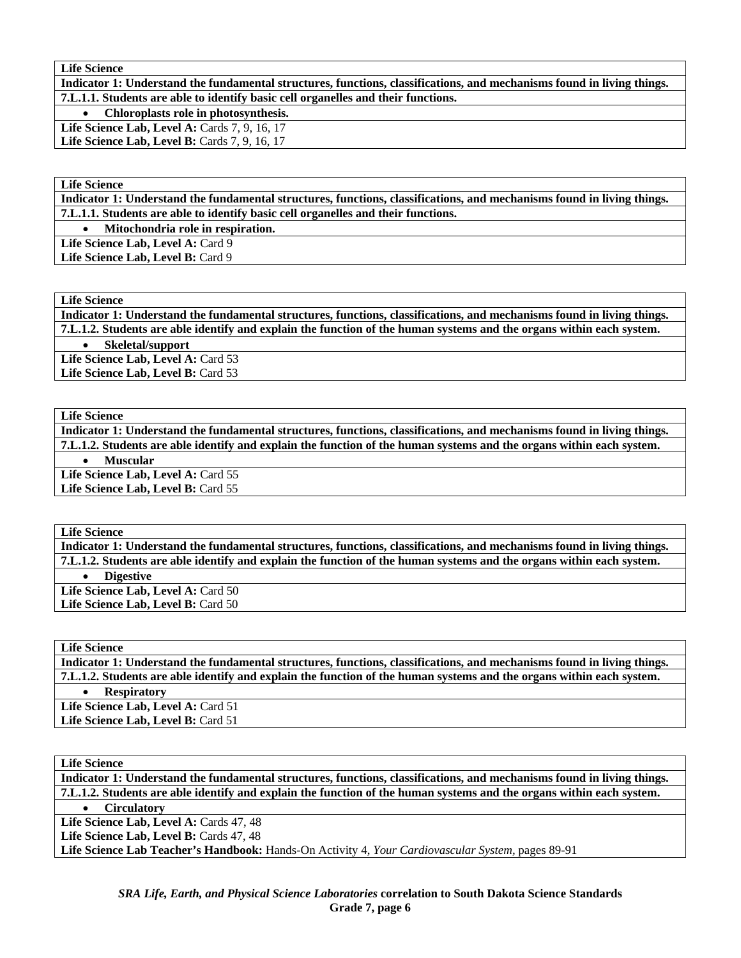**Indicator 1: Understand the fundamental structures, functions, classifications, and mechanisms found in living things. 7.L.1.1. Students are able to identify basic cell organelles and their functions.** 

• **Chloroplasts role in photosynthesis.** 

Life Science Lab, Level A: Cards 7, 9, 16, 17

**Life Science Lab, Level B: Cards 7, 9, 16, 17** 

#### **Life Science**

**Indicator 1: Understand the fundamental structures, functions, classifications, and mechanisms found in living things. 7.L.1.1. Students are able to identify basic cell organelles and their functions.** 

• **Mitochondria role in respiration.** 

Life Science Lab, Level A: Card 9

Life Science Lab, Level B: Card 9

**Life Science** 

**Indicator 1: Understand the fundamental structures, functions, classifications, and mechanisms found in living things. 7.L.1.2. Students are able identify and explain the function of the human systems and the organs within each system.** 

• **Skeletal/support** 

Life Science Lab, Level A: Card 53

Life Science Lab, Level B: Card 53

### **Life Science**

**Indicator 1: Understand the fundamental structures, functions, classifications, and mechanisms found in living things. 7.L.1.2. Students are able identify and explain the function of the human systems and the organs within each system.** 

• **Muscular** 

Life Science Lab, Level A: Card 55 Life Science Lab, Level B: Card 55

#### **Life Science**

**Indicator 1: Understand the fundamental structures, functions, classifications, and mechanisms found in living things. 7.L.1.2. Students are able identify and explain the function of the human systems and the organs within each system.** 

• **Digestive** 

Life Science Lab, Level A: Card 50 Life Science Lab, Level B: Card 50

### **Life Science**

**Indicator 1: Understand the fundamental structures, functions, classifications, and mechanisms found in living things. 7.L.1.2. Students are able identify and explain the function of the human systems and the organs within each system.**  • **Respiratory** 

Life Science Lab, Level A: Card 51 Life Science Lab, Level B: Card 51

**Life Science** 

**Indicator 1: Understand the fundamental structures, functions, classifications, and mechanisms found in living things. 7.L.1.2. Students are able identify and explain the function of the human systems and the organs within each system.**  • **Circulatory** 

Life Science Lab, Level A: Cards 47, 48

Life Science Lab, Level B: Cards 47, 48

**Life Science Lab Teacher's Handbook:** Hands-On Activity 4, *Your Cardiovascular System,* pages 89-91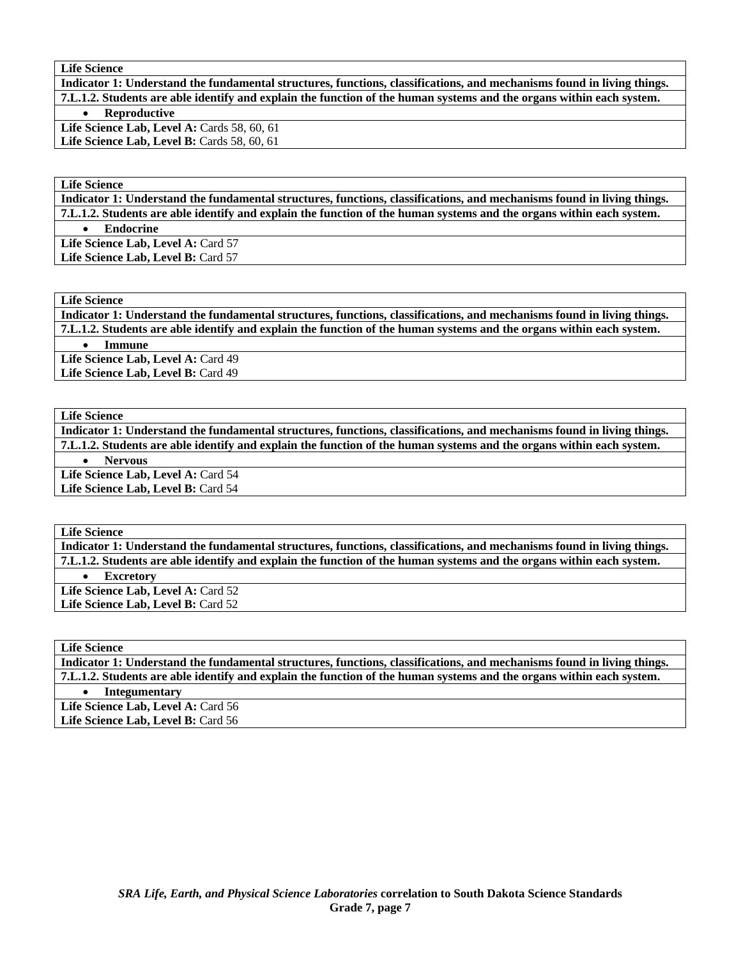**Indicator 1: Understand the fundamental structures, functions, classifications, and mechanisms found in living things. 7.L.1.2. Students are able identify and explain the function of the human systems and the organs within each system.** 

• **Reproductive** 

Life Science Lab, Level A: Cards 58, 60, 61 Life Science Lab, Level B: Cards 58, 60, 61

**Life Science** 

**Indicator 1: Understand the fundamental structures, functions, classifications, and mechanisms found in living things. 7.L.1.2. Students are able identify and explain the function of the human systems and the organs within each system.**  • **Endocrine**  Life Science Lab, Level A: Card 57 Life Science Lab, Level B: Card 57

**Life Science** 

**Indicator 1: Understand the fundamental structures, functions, classifications, and mechanisms found in living things. 7.L.1.2. Students are able identify and explain the function of the human systems and the organs within each system.**  • **Immune** 

Life Science Lab, Level A: Card 49 Life Science Lab, Level B: Card 49

**Life Science** 

**Indicator 1: Understand the fundamental structures, functions, classifications, and mechanisms found in living things. 7.L.1.2. Students are able identify and explain the function of the human systems and the organs within each system.**  • **Nervous** 

Life Science Lab, Level A: Card 54 Life Science Lab, Level B: Card 54

**Life Science** 

**Indicator 1: Understand the fundamental structures, functions, classifications, and mechanisms found in living things. 7.L.1.2. Students are able identify and explain the function of the human systems and the organs within each system.** 

• **Excretory** 

Life Science Lab, Level A: Card 52 Life Science Lab, Level B: Card 52

**Life Science** 

**Indicator 1: Understand the fundamental structures, functions, classifications, and mechanisms found in living things. 7.L.1.2. Students are able identify and explain the function of the human systems and the organs within each system.** 

• **Integumentary** 

Life Science Lab, Level A: Card 56 Life Science Lab, Level B: Card 56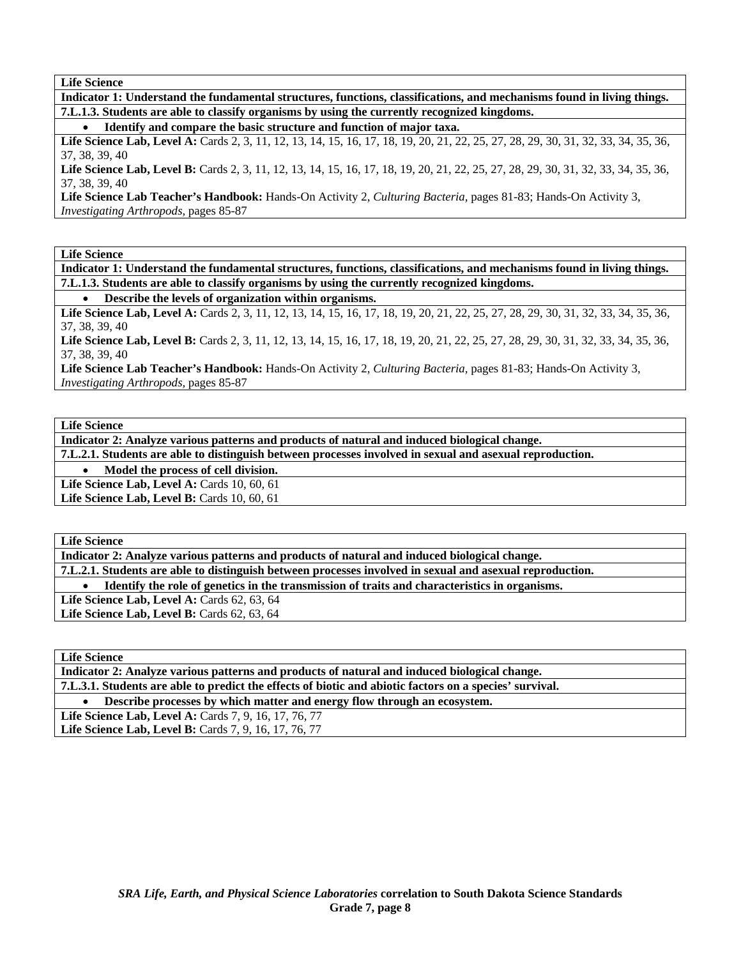**Indicator 1: Understand the fundamental structures, functions, classifications, and mechanisms found in living things. 7.L.1.3. Students are able to classify organisms by using the currently recognized kingdoms.** 

• **Identify and compare the basic structure and function of major taxa.** 

Life Science Lab, Level A: Cards 2, 3, 11, 12, 13, 14, 15, 16, 17, 18, 19, 20, 21, 22, 25, 27, 28, 29, 30, 31, 32, 33, 34, 35, 36, 37, 38, 39, 40

Life Science Lab, Level B: Cards 2, 3, 11, 12, 13, 14, 15, 16, 17, 18, 19, 20, 21, 22, 25, 27, 28, 29, 30, 31, 32, 33, 34, 35, 36, 37, 38, 39, 40

**Life Science Lab Teacher's Handbook:** Hands-On Activity 2, *Culturing Bacteria,* pages 81-83; Hands-On Activity 3, *Investigating Arthropods,* pages 85-87

**Life Science** 

**Indicator 1: Understand the fundamental structures, functions, classifications, and mechanisms found in living things. 7.L.1.3. Students are able to classify organisms by using the currently recognized kingdoms.** 

• **Describe the levels of organization within organisms.** 

Life Science Lab, Level A: Cards 2, 3, 11, 12, 13, 14, 15, 16, 17, 18, 19, 20, 21, 22, 25, 27, 28, 29, 30, 31, 32, 33, 34, 35, 36, 37, 38, 39, 40

Life Science Lab, Level B: Cards 2, 3, 11, 12, 13, 14, 15, 16, 17, 18, 19, 20, 21, 22, 25, 27, 28, 29, 30, 31, 32, 33, 34, 35, 36, 37, 38, 39, 40

**Life Science Lab Teacher's Handbook:** Hands-On Activity 2, *Culturing Bacteria,* pages 81-83; Hands-On Activity 3, *Investigating Arthropods,* pages 85-87

**Life Science** 

**Indicator 2: Analyze various patterns and products of natural and induced biological change.** 

**7.L.2.1. Students are able to distinguish between processes involved in sexual and asexual reproduction.** 

• **Model the process of cell division.** 

Life Science Lab, Level A: Cards 10, 60, 61

**Life Science Lab, Level B: Cards 10, 60, 61** 

**Life Science** 

**Indicator 2: Analyze various patterns and products of natural and induced biological change.** 

**7.L.2.1. Students are able to distinguish between processes involved in sexual and asexual reproduction.** 

• **Identify the role of genetics in the transmission of traits and characteristics in organisms.** 

Life Science Lab, Level A: Cards 62, 63, 64 Life Science Lab, Level B: Cards 62, 63, 64

**Life Science** 

**Indicator 2: Analyze various patterns and products of natural and induced biological change. 7.L.3.1. Students are able to predict the effects of biotic and abiotic factors on a species' survival.**  • **Describe processes by which matter and energy flow through an ecosystem.** 

Life Science Lab, Level A: Cards 7, 9, 16, 17, 76, 77

Life Science Lab, Level B: Cards 7, 9, 16, 17, 76, 77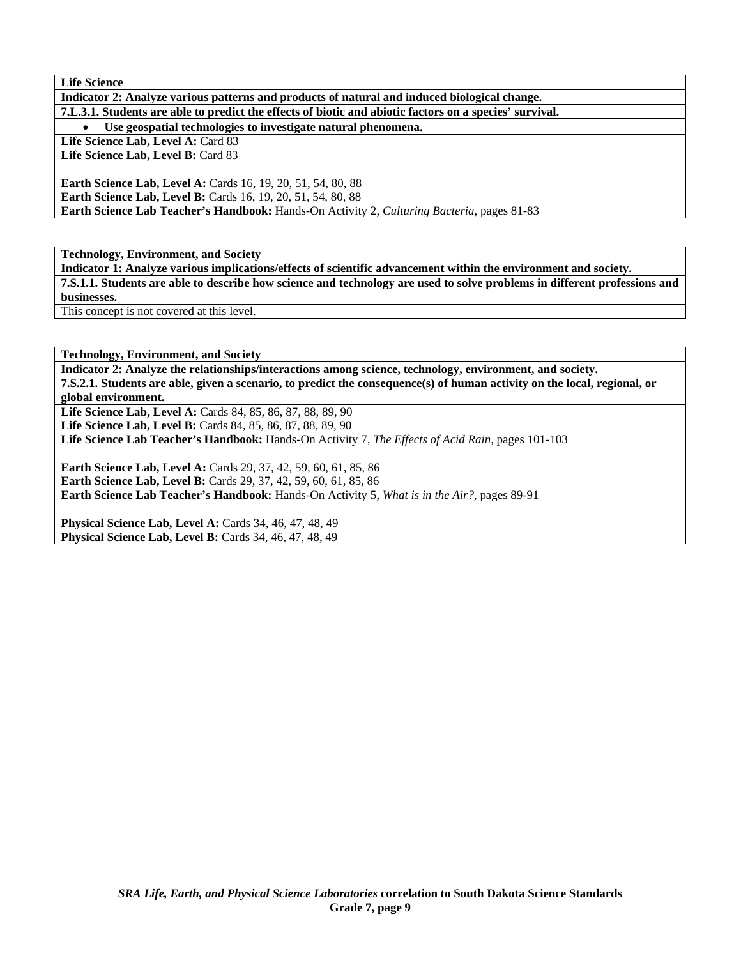| <b>Life Science</b>                                                                                     |
|---------------------------------------------------------------------------------------------------------|
| Indicator 2: Analyze various patterns and products of natural and induced biological change.            |
| 7.L.3.1. Students are able to predict the effects of biotic and abiotic factors on a species' survival. |
| Use geospatial technologies to investigate natural phenomena.                                           |
| Life Science Lab, Level A: Card 83                                                                      |
| Life Science Lab, Level B: Card 83                                                                      |
|                                                                                                         |
| <b>Earth Science Lab, Level A: Cards 16, 19, 20, 51, 54, 80, 88</b>                                     |
| <b>Earth Science Lab, Level B:</b> Cards 16, 19, 20, 51, 54, 80, 88                                     |
| <b>Earth Science Lab Teacher's Handbook:</b> Hands-On Activity 2, Culturing Bacteria, pages 81-83       |

**Technology, Environment, and Society** 

**Indicator 1: Analyze various implications/effects of scientific advancement within the environment and society. 7.S.1.1. Students are able to describe how science and technology are used to solve problems in different professions and businesses.** 

This concept is not covered at this level.

**Technology, Environment, and Society** 

**Indicator 2: Analyze the relationships/interactions among science, technology, environment, and society. 7.S.2.1. Students are able, given a scenario, to predict the consequence(s) of human activity on the local, regional, or global environment.** 

**Life Science Lab, Level A:** Cards 84, 85, 86, 87, 88, 89, 90

Life Science Lab, Level B: Cards 84, 85, 86, 87, 88, 89, 90

**Life Science Lab Teacher's Handbook:** Hands-On Activity 7, *The Effects of Acid Rain,* pages 101-103

**Earth Science Lab, Level A:** Cards 29, 37, 42, 59, 60, 61, 85, 86 **Earth Science Lab, Level B:** Cards 29, 37, 42, 59, 60, 61, 85, 86 **Earth Science Lab Teacher's Handbook:** Hands-On Activity 5, *What is in the Air?,* pages 89-91

**Physical Science Lab, Level A:** Cards 34, 46, 47, 48, 49 **Physical Science Lab, Level B: Cards 34, 46, 47, 48, 49**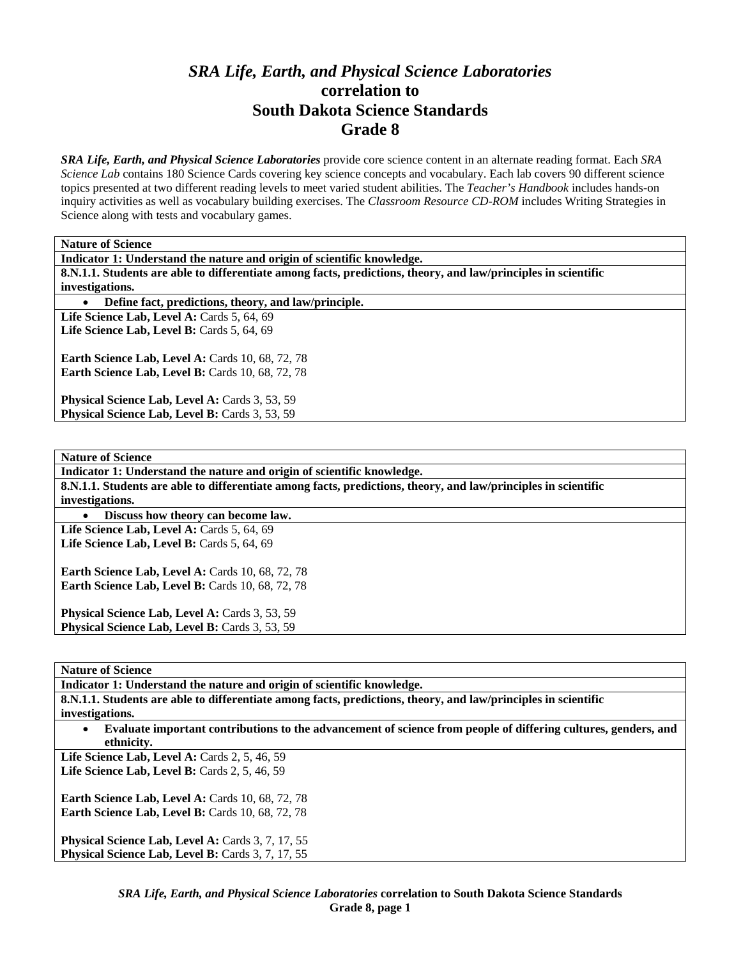## *SRA Life, Earth, and Physical Science Laboratories*  **correlation to South Dakota Science Standards Grade 8**

*SRA Life, Earth, and Physical Science Laboratories* provide core science content in an alternate reading format. Each *SRA Science Lab* contains 180 Science Cards covering key science concepts and vocabulary. Each lab covers 90 different science topics presented at two different reading levels to meet varied student abilities. The *Teacher's Handbook* includes hands-on inquiry activities as well as vocabulary building exercises. The *Classroom Resource CD-ROM* includes Writing Strategies in Science along with tests and vocabulary games.

**Nature of Science** 

| Indicator 1: Understand the nature and origin of scientific knowledge.                                         |
|----------------------------------------------------------------------------------------------------------------|
| 8.N.1.1. Students are able to differentiate among facts, predictions, theory, and law/principles in scientific |
| investigations.                                                                                                |
| Define fact, predictions, theory, and law/principle.<br>$\bullet$                                              |
| Life Science Lab, Level A: Cards 5, 64, 69                                                                     |
| Life Science Lab, Level B: Cards 5, 64, 69                                                                     |
| <b>Earth Science Lab, Level A: Cards 10, 68, 72, 78</b>                                                        |
| Earth Science Lab, Level B: Cards 10, 68, 72, 78                                                               |
| Physical Science Lab, Level A: Cards 3, 53, 59                                                                 |
| Physical Science Lab, Level B: Cards 3, 53, 59                                                                 |
|                                                                                                                |
|                                                                                                                |
| <b>Nature of Science</b>                                                                                       |
| Indicator 1: Understand the nature and origin of scientific knowledge.                                         |
| 8.N.1.1. Students are able to differentiate among facts, predictions, theory, and law/principles in scientific |
| investigations.                                                                                                |
| Discuss how theory can become law.                                                                             |
| Life Science Lab. Level A: Cards 5, 64, 69                                                                     |

Life Science Lab, Level B: Cards 5, 64, 69

**Earth Science Lab, Level A: Cards 10, 68, 72, 78 Earth Science Lab, Level B: Cards 10, 68, 72, 78** 

Physical Science Lab, Level A: Cards 3, 53, 59 Physical Science Lab, Level B: Cards 3, 53, 59

**Nature of Science** 

**Indicator 1: Understand the nature and origin of scientific knowledge.** 

**8.N.1.1. Students are able to differentiate among facts, predictions, theory, and law/principles in scientific investigations.** 

• **Evaluate important contributions to the advancement of science from people of differing cultures, genders, and ethnicity.** 

Life Science Lab, Level A: Cards 2, 5, 46, 59 **Life Science Lab, Level B:** Cards 2, 5, 46, 59

**Earth Science Lab, Level A: Cards 10, 68, 72, 78 Earth Science Lab, Level B: Cards 10, 68, 72, 78** 

Physical Science Lab, Level A: Cards 3, 7, 17, 55 Physical Science Lab, Level B: Cards 3, 7, 17, 55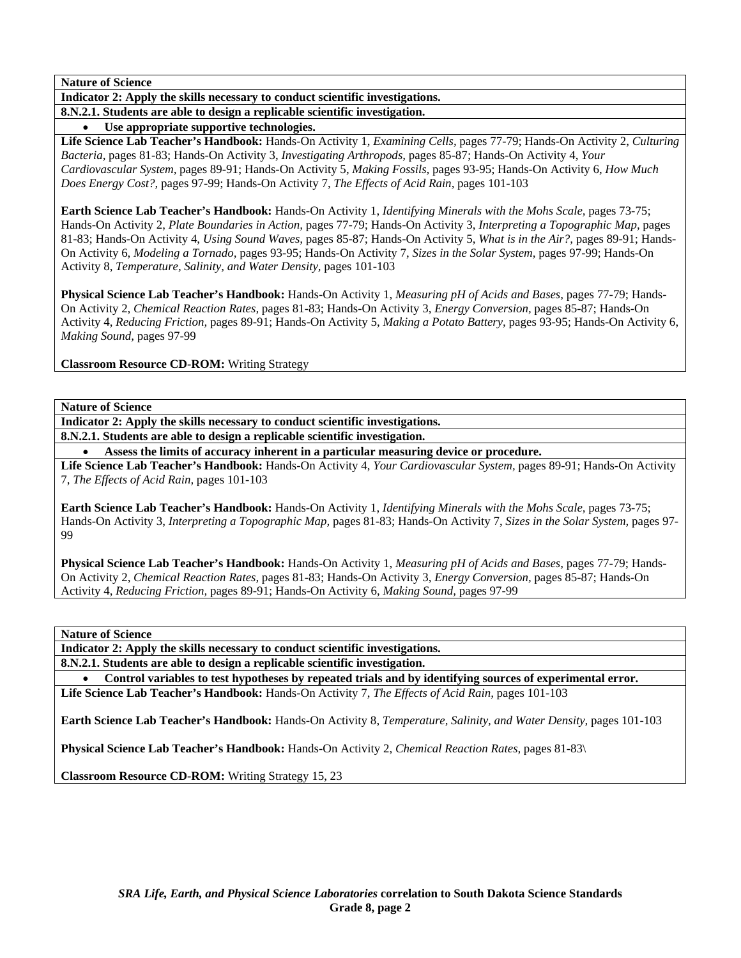**Indicator 2: Apply the skills necessary to conduct scientific investigations.** 

**8.N.2.1. Students are able to design a replicable scientific investigation.** 

• **Use appropriate supportive technologies.** 

**Life Science Lab Teacher's Handbook:** Hands-On Activity 1, *Examining Cells,* pages 77-79; Hands-On Activity 2, *Culturing Bacteria,* pages 81-83; Hands-On Activity 3, *Investigating Arthropods,* pages 85-87; Hands-On Activity 4, *Your Cardiovascular System,* pages 89-91; Hands-On Activity 5, *Making Fossils,* pages 93-95; Hands-On Activity 6, *How Much Does Energy Cost?,* pages 97-99; Hands-On Activity 7, *The Effects of Acid Rain,* pages 101-103

**Earth Science Lab Teacher's Handbook:** Hands-On Activity 1, *Identifying Minerals with the Mohs Scale,* pages 73-75; Hands-On Activity 2, *Plate Boundaries in Action,* pages 77-79; Hands-On Activity 3, *Interpreting a Topographic Map,* pages 81-83; Hands-On Activity 4, *Using Sound Waves,* pages 85-87; Hands-On Activity 5, *What is in the Air?,* pages 89-91; Hands-On Activity 6, *Modeling a Tornado,* pages 93-95; Hands-On Activity 7, *Sizes in the Solar System,* pages 97-99; Hands-On Activity 8, *Temperature, Salinity, and Water Density,* pages 101-103

**Physical Science Lab Teacher's Handbook:** Hands-On Activity 1, *Measuring pH of Acids and Bases,* pages 77-79; Hands-On Activity 2, *Chemical Reaction Rates,* pages 81-83; Hands-On Activity 3, *Energy Conversion,* pages 85-87; Hands-On Activity 4, *Reducing Friction,* pages 89-91; Hands-On Activity 5, *Making a Potato Battery,* pages 93-95; Hands-On Activity 6, *Making Sound,* pages 97-99

**Classroom Resource CD-ROM:** Writing Strategy

**Nature of Science** 

**Indicator 2: Apply the skills necessary to conduct scientific investigations.** 

**8.N.2.1. Students are able to design a replicable scientific investigation.** 

• **Assess the limits of accuracy inherent in a particular measuring device or procedure.** 

**Life Science Lab Teacher's Handbook:** Hands-On Activity 4, *Your Cardiovascular System,* pages 89-91; Hands-On Activity 7, *The Effects of Acid Rain,* pages 101-103

**Earth Science Lab Teacher's Handbook:** Hands-On Activity 1, *Identifying Minerals with the Mohs Scale,* pages 73-75; Hands-On Activity 3, *Interpreting a Topographic Map,* pages 81-83; Hands-On Activity 7, *Sizes in the Solar System,* pages 97- 99

**Physical Science Lab Teacher's Handbook:** Hands-On Activity 1, *Measuring pH of Acids and Bases,* pages 77-79; Hands-On Activity 2, *Chemical Reaction Rates,* pages 81-83; Hands-On Activity 3, *Energy Conversion,* pages 85-87; Hands-On Activity 4, *Reducing Friction,* pages 89-91; Hands-On Activity 6, *Making Sound,* pages 97-99

**Nature of Science** 

**Indicator 2: Apply the skills necessary to conduct scientific investigations.** 

**8.N.2.1. Students are able to design a replicable scientific investigation.** 

• **Control variables to test hypotheses by repeated trials and by identifying sources of experimental error. Life Science Lab Teacher's Handbook:** Hands-On Activity 7, *The Effects of Acid Rain,* pages 101-103

**Earth Science Lab Teacher's Handbook:** Hands-On Activity 8, *Temperature, Salinity, and Water Density,* pages 101-103

**Physical Science Lab Teacher's Handbook:** Hands-On Activity 2, *Chemical Reaction Rates,* pages 81-83\

**Classroom Resource CD-ROM:** Writing Strategy 15, 23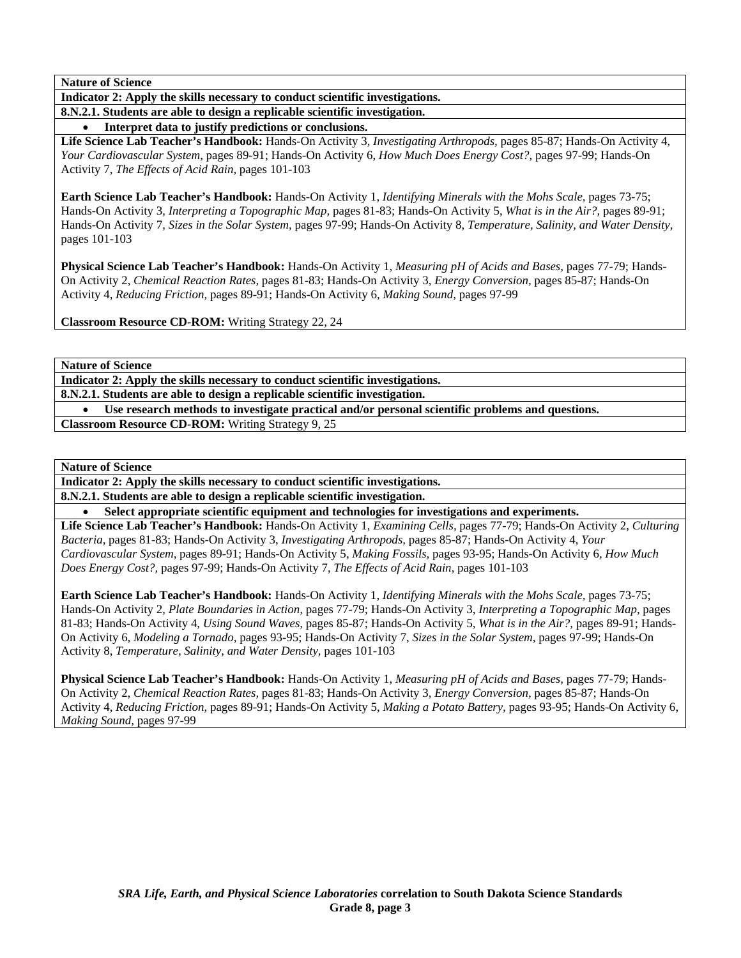**Indicator 2: Apply the skills necessary to conduct scientific investigations.** 

**8.N.2.1. Students are able to design a replicable scientific investigation.** 

• **Interpret data to justify predictions or conclusions.** 

**Life Science Lab Teacher's Handbook:** Hands-On Activity 3, *Investigating Arthropods,* pages 85-87; Hands-On Activity 4, *Your Cardiovascular System,* pages 89-91; Hands-On Activity 6, *How Much Does Energy Cost?,* pages 97-99; Hands-On Activity 7, *The Effects of Acid Rain,* pages 101-103

**Earth Science Lab Teacher's Handbook:** Hands-On Activity 1, *Identifying Minerals with the Mohs Scale,* pages 73-75; Hands-On Activity 3, *Interpreting a Topographic Map,* pages 81-83; Hands-On Activity 5, *What is in the Air?,* pages 89-91; Hands-On Activity 7, *Sizes in the Solar System,* pages 97-99; Hands-On Activity 8, *Temperature, Salinity, and Water Density,* pages 101-103

**Physical Science Lab Teacher's Handbook:** Hands-On Activity 1, *Measuring pH of Acids and Bases,* pages 77-79; Hands-On Activity 2, *Chemical Reaction Rates,* pages 81-83; Hands-On Activity 3, *Energy Conversion,* pages 85-87; Hands-On Activity 4, *Reducing Friction,* pages 89-91; Hands-On Activity 6, *Making Sound,* pages 97-99

**Classroom Resource CD-ROM:** Writing Strategy 22, 24

**Nature of Science** 

**Indicator 2: Apply the skills necessary to conduct scientific investigations. 8.N.2.1. Students are able to design a replicable scientific investigation.** 

• **Use research methods to investigate practical and/or personal scientific problems and questions.** 

**Classroom Resource CD-ROM:** Writing Strategy 9, 25

**Nature of Science** 

**Indicator 2: Apply the skills necessary to conduct scientific investigations.** 

**8.N.2.1. Students are able to design a replicable scientific investigation.** 

• **Select appropriate scientific equipment and technologies for investigations and experiments.** 

**Life Science Lab Teacher's Handbook:** Hands-On Activity 1, *Examining Cells,* pages 77-79; Hands-On Activity 2, *Culturing Bacteria,* pages 81-83; Hands-On Activity 3, *Investigating Arthropods,* pages 85-87; Hands-On Activity 4, *Your Cardiovascular System,* pages 89-91; Hands-On Activity 5, *Making Fossils,* pages 93-95; Hands-On Activity 6, *How Much Does Energy Cost?,* pages 97-99; Hands-On Activity 7, *The Effects of Acid Rain,* pages 101-103

**Earth Science Lab Teacher's Handbook:** Hands-On Activity 1, *Identifying Minerals with the Mohs Scale,* pages 73-75; Hands-On Activity 2, *Plate Boundaries in Action,* pages 77-79; Hands-On Activity 3, *Interpreting a Topographic Map,* pages 81-83; Hands-On Activity 4, *Using Sound Waves,* pages 85-87; Hands-On Activity 5, *What is in the Air?,* pages 89-91; Hands-On Activity 6, *Modeling a Tornado,* pages 93-95; Hands-On Activity 7, *Sizes in the Solar System,* pages 97-99; Hands-On Activity 8, *Temperature, Salinity, and Water Density,* pages 101-103

**Physical Science Lab Teacher's Handbook:** Hands-On Activity 1, *Measuring pH of Acids and Bases,* pages 77-79; Hands-On Activity 2, *Chemical Reaction Rates,* pages 81-83; Hands-On Activity 3, *Energy Conversion,* pages 85-87; Hands-On Activity 4, *Reducing Friction,* pages 89-91; Hands-On Activity 5, *Making a Potato Battery,* pages 93-95; Hands-On Activity 6, *Making Sound,* pages 97-99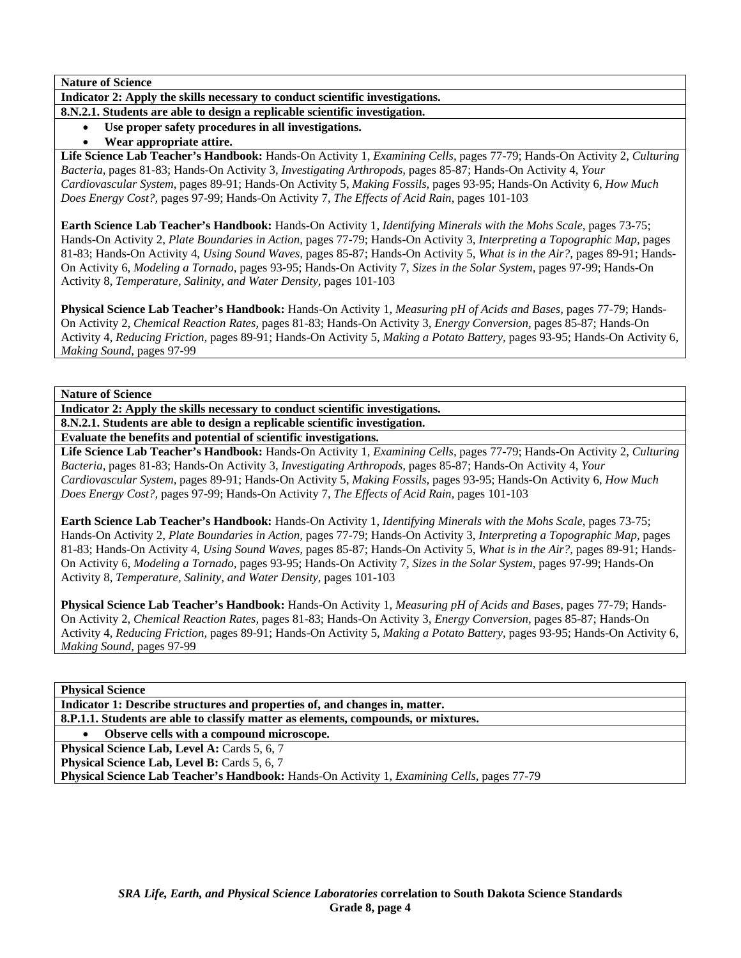**Indicator 2: Apply the skills necessary to conduct scientific investigations. 8.N.2.1. Students are able to design a replicable scientific investigation.** 

- Use proper safety procedures in all investigations.
- **Wear appropriate attire.**

**Life Science Lab Teacher's Handbook:** Hands-On Activity 1, *Examining Cells,* pages 77-79; Hands-On Activity 2, *Culturing Bacteria,* pages 81-83; Hands-On Activity 3, *Investigating Arthropods,* pages 85-87; Hands-On Activity 4, *Your Cardiovascular System,* pages 89-91; Hands-On Activity 5, *Making Fossils,* pages 93-95; Hands-On Activity 6, *How Much Does Energy Cost?,* pages 97-99; Hands-On Activity 7, *The Effects of Acid Rain,* pages 101-103

**Earth Science Lab Teacher's Handbook:** Hands-On Activity 1, *Identifying Minerals with the Mohs Scale,* pages 73-75; Hands-On Activity 2, *Plate Boundaries in Action,* pages 77-79; Hands-On Activity 3, *Interpreting a Topographic Map,* pages 81-83; Hands-On Activity 4, *Using Sound Waves,* pages 85-87; Hands-On Activity 5, *What is in the Air?,* pages 89-91; Hands-On Activity 6, *Modeling a Tornado,* pages 93-95; Hands-On Activity 7, *Sizes in the Solar System,* pages 97-99; Hands-On Activity 8, *Temperature, Salinity, and Water Density,* pages 101-103

**Physical Science Lab Teacher's Handbook:** Hands-On Activity 1, *Measuring pH of Acids and Bases,* pages 77-79; Hands-On Activity 2, *Chemical Reaction Rates,* pages 81-83; Hands-On Activity 3, *Energy Conversion,* pages 85-87; Hands-On Activity 4, *Reducing Friction,* pages 89-91; Hands-On Activity 5, *Making a Potato Battery,* pages 93-95; Hands-On Activity 6, *Making Sound,* pages 97-99

**Nature of Science** 

**Indicator 2: Apply the skills necessary to conduct scientific investigations.** 

**8.N.2.1. Students are able to design a replicable scientific investigation.** 

**Evaluate the benefits and potential of scientific investigations.** 

**Life Science Lab Teacher's Handbook:** Hands-On Activity 1, *Examining Cells,* pages 77-79; Hands-On Activity 2, *Culturing Bacteria,* pages 81-83; Hands-On Activity 3, *Investigating Arthropods,* pages 85-87; Hands-On Activity 4, *Your Cardiovascular System,* pages 89-91; Hands-On Activity 5, *Making Fossils,* pages 93-95; Hands-On Activity 6, *How Much Does Energy Cost?,* pages 97-99; Hands-On Activity 7, *The Effects of Acid Rain,* pages 101-103

**Earth Science Lab Teacher's Handbook:** Hands-On Activity 1, *Identifying Minerals with the Mohs Scale,* pages 73-75; Hands-On Activity 2, *Plate Boundaries in Action,* pages 77-79; Hands-On Activity 3, *Interpreting a Topographic Map,* pages 81-83; Hands-On Activity 4, *Using Sound Waves,* pages 85-87; Hands-On Activity 5, *What is in the Air?,* pages 89-91; Hands-On Activity 6, *Modeling a Tornado,* pages 93-95; Hands-On Activity 7, *Sizes in the Solar System,* pages 97-99; Hands-On Activity 8, *Temperature, Salinity, and Water Density,* pages 101-103

**Physical Science Lab Teacher's Handbook:** Hands-On Activity 1, *Measuring pH of Acids and Bases,* pages 77-79; Hands-On Activity 2, *Chemical Reaction Rates,* pages 81-83; Hands-On Activity 3, *Energy Conversion,* pages 85-87; Hands-On Activity 4, *Reducing Friction,* pages 89-91; Hands-On Activity 5, *Making a Potato Battery,* pages 93-95; Hands-On Activity 6, *Making Sound,* pages 97-99

**Physical Science** 

**Indicator 1: Describe structures and properties of, and changes in, matter.** 

**8.P.1.1. Students are able to classify matter as elements, compounds, or mixtures.** 

• **Observe cells with a compound microscope.** 

Physical Science Lab, Level A: Cards 5, 6, 7

**Physical Science Lab, Level B: Cards 5, 6, 7** 

**Physical Science Lab Teacher's Handbook:** Hands-On Activity 1, *Examining Cells,* pages 77-79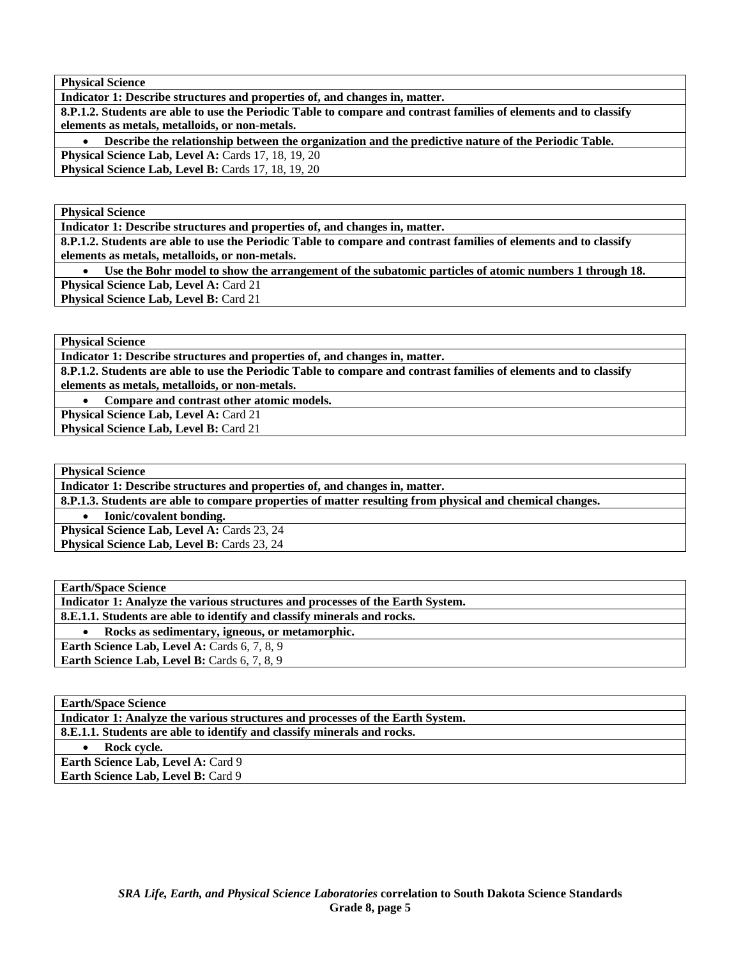**Physical Science** 

**Indicator 1: Describe structures and properties of, and changes in, matter.** 

**8.P.1.2. Students are able to use the Periodic Table to compare and contrast families of elements and to classify elements as metals, metalloids, or non-metals.** 

• **Describe the relationship between the organization and the predictive nature of the Periodic Table.** 

**Physical Science Lab, Level A: Cards 17, 18, 19, 20 Physical Science Lab, Level B: Cards 17, 18, 19, 20** 

**Physical Science** 

**Indicator 1: Describe structures and properties of, and changes in, matter.** 

**8.P.1.2. Students are able to use the Periodic Table to compare and contrast families of elements and to classify elements as metals, metalloids, or non-metals.** 

• **Use the Bohr model to show the arrangement of the subatomic particles of atomic numbers 1 through 18.** 

**Physical Science Lab, Level A: Card 21** Physical Science Lab, Level B: Card 21

**Physical Science** 

**Indicator 1: Describe structures and properties of, and changes in, matter.** 

**8.P.1.2. Students are able to use the Periodic Table to compare and contrast families of elements and to classify elements as metals, metalloids, or non-metals.** 

• **Compare and contrast other atomic models.** 

**Physical Science Lab, Level A: Card 21 Physical Science Lab, Level B: Card 21** 

**Physical Science** 

**Indicator 1: Describe structures and properties of, and changes in, matter.** 

**8.P.1.3. Students are able to compare properties of matter resulting from physical and chemical changes.** 

• **Ionic/covalent bonding.** 

Physical Science Lab, Level A: Cards 23, 24

Physical Science Lab, Level B: Cards 23, 24

**Earth/Space Science Indicator 1: Analyze the various structures and processes of the Earth System. 8.E.1.1. Students are able to identify and classify minerals and rocks.**  • **Rocks as sedimentary, igneous, or metamorphic. Earth Science Lab, Level A: Cards 6, 7, 8, 9 Earth Science Lab, Level B:** Cards 6, 7, 8, 9

| <b>Earth/Space Science</b>                                                     |
|--------------------------------------------------------------------------------|
| Indicator 1: Analyze the various structures and processes of the Earth System. |
| 8.E.1.1. Students are able to identify and classify minerals and rocks.        |
| Rock cycle.                                                                    |
| <b>Earth Science Lab, Level A: Card 9</b>                                      |
| <b>Earth Science Lab. Level B: Card 9</b>                                      |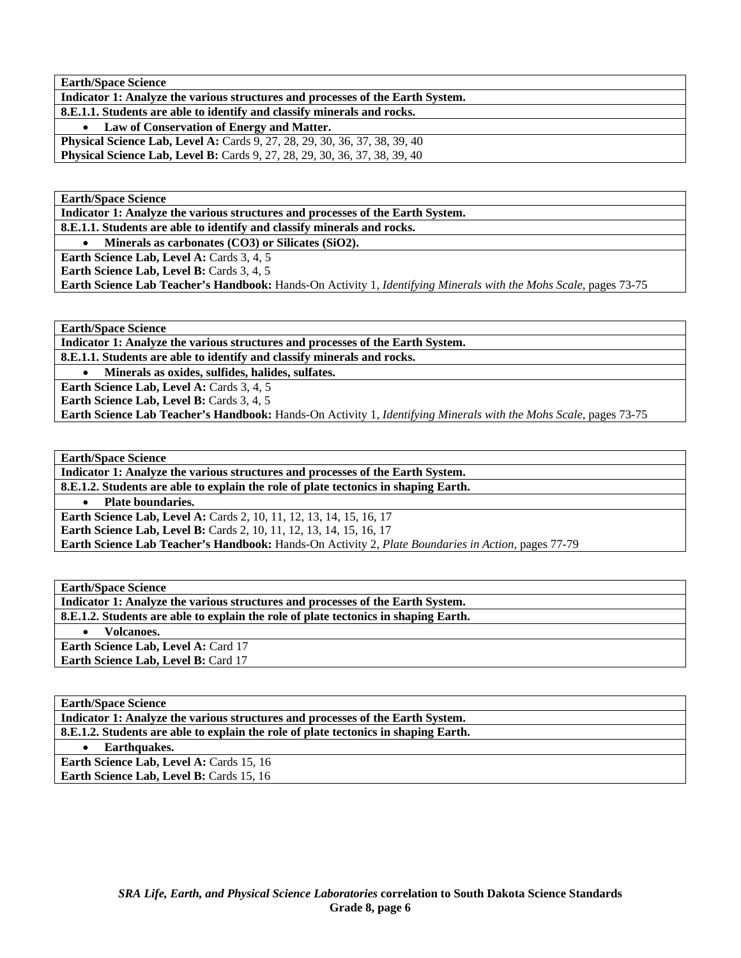**Indicator 1: Analyze the various structures and processes of the Earth System. 8.E.1.1. Students are able to identify and classify minerals and rocks.** 

• **Law of Conservation of Energy and Matter.** 

**Physical Science Lab, Level A: Cards 9, 27, 28, 29, 30, 36, 37, 38, 39, 40 Physical Science Lab, Level B:** Cards 9, 27, 28, 29, 30, 36, 37, 38, 39, 40

**Earth/Space Science** 

**Indicator 1: Analyze the various structures and processes of the Earth System. 8.E.1.1. Students are able to identify and classify minerals and rocks.** 

• **Minerals as carbonates (CO3) or Silicates (SiO2).** 

Earth Science Lab, Level A: Cards 3, 4, 5

**Earth Science Lab, Level B: Cards 3, 4, 5** 

**Earth Science Lab Teacher's Handbook:** Hands-On Activity 1, *Identifying Minerals with the Mohs Scale,* pages 73-75

**Earth/Space Science** 

**Indicator 1: Analyze the various structures and processes of the Earth System.** 

**8.E.1.1. Students are able to identify and classify minerals and rocks.** 

• **Minerals as oxides, sulfides, halides, sulfates.** 

**Earth Science Lab, Level A: Cards 3, 4, 5** 

**Earth Science Lab, Level B: Cards 3, 4, 5** 

**Earth Science Lab Teacher's Handbook:** Hands-On Activity 1, *Identifying Minerals with the Mohs Scale,* pages 73-75

**Earth/Space Science** 

**Indicator 1: Analyze the various structures and processes of the Earth System.** 

**8.E.1.2. Students are able to explain the role of plate tectonics in shaping Earth.** 

• **Plate boundaries.** 

**Earth Science Lab, Level A: Cards 2, 10, 11, 12, 13, 14, 15, 16, 17 Earth Science Lab, Level B:** Cards 2, 10, 11, 12, 13, 14, 15, 16, 17

**Earth Science Lab Teacher's Handbook:** Hands-On Activity 2, *Plate Boundaries in Action,* pages 77-79

**Earth/Space Science Indicator 1: Analyze the various structures and processes of the Earth System. 8.E.1.2. Students are able to explain the role of plate tectonics in shaping Earth.**  • **Volcanoes. Earth Science Lab, Level A: Card 17 Earth Science Lab, Level B: Card 17** 

**Earth/Space Science Indicator 1: Analyze the various structures and processes of the Earth System. 8.E.1.2. Students are able to explain the role of plate tectonics in shaping Earth.**  • **Earthquakes. Earth Science Lab, Level A: Cards 15, 16 Earth Science Lab, Level B: Cards 15, 16**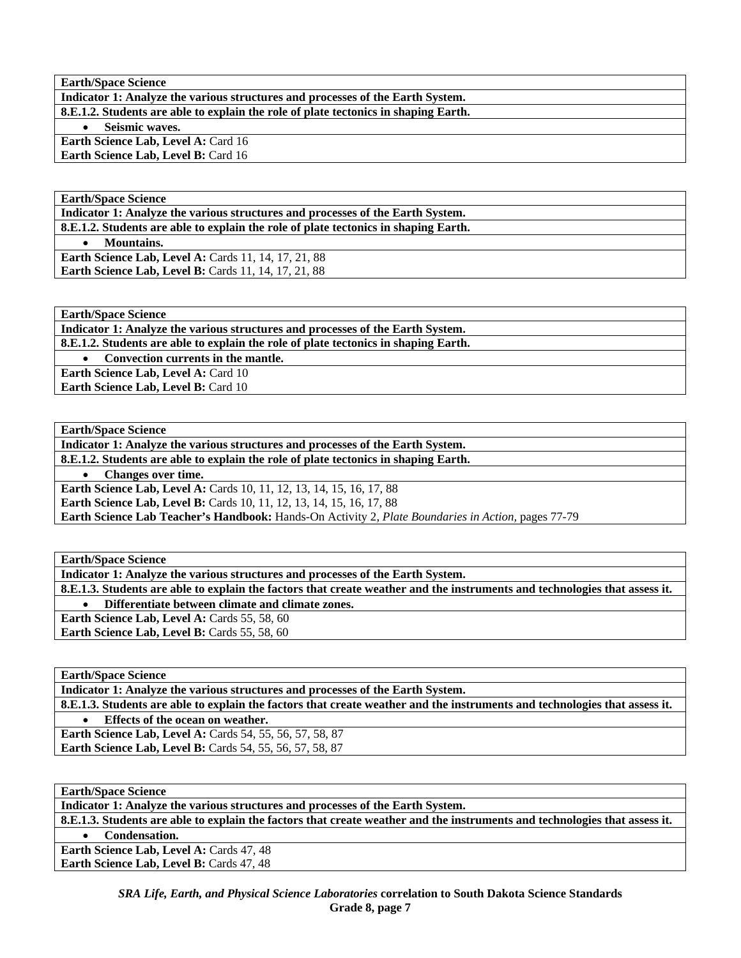| <b>Earth/Space Science</b>                                                          |
|-------------------------------------------------------------------------------------|
| Indicator 1: Analyze the various structures and processes of the Earth System.      |
| 8.E.1.2. Students are able to explain the role of plate tectonics in shaping Earth. |
| Seismic waves.                                                                      |
| <b>Earth Science Lab, Level A: Card 16</b>                                          |
| Earth Science Lab, Level B: Card 16                                                 |

**Indicator 1: Analyze the various structures and processes of the Earth System. 8.E.1.2. Students are able to explain the role of plate tectonics in shaping Earth.** 

• **Mountains.** 

**Earth Science Lab, Level A: Cards 11, 14, 17, 21, 88** Earth Science Lab, Level B: Cards 11, 14, 17, 21, 88

**Earth/Space Science** 

**Indicator 1: Analyze the various structures and processes of the Earth System.** 

**8.E.1.2. Students are able to explain the role of plate tectonics in shaping Earth.** 

• **Convection currents in the mantle.** 

**Earth Science Lab, Level A: Card 10 Earth Science Lab, Level B: Card 10** 

**Earth/Space Science** 

**Indicator 1: Analyze the various structures and processes of the Earth System.** 

**8.E.1.2. Students are able to explain the role of plate tectonics in shaping Earth.** 

• **Changes over time.** 

**Earth Science Lab, Level A: Cards 10, 11, 12, 13, 14, 15, 16, 17, 88 Earth Science Lab, Level B:** Cards 10, 11, 12, 13, 14, 15, 16, 17, 88

**Earth Science Lab Teacher's Handbook:** Hands-On Activity 2, *Plate Boundaries in Action,* pages 77-79

**Earth/Space Science** 

**Indicator 1: Analyze the various structures and processes of the Earth System.** 

**8.E.1.3. Students are able to explain the factors that create weather and the instruments and technologies that assess it.** 

• **Differentiate between climate and climate zones.** 

**Earth Science Lab, Level A: Cards 55, 58, 60** 

Earth Science Lab, Level B: Cards 55, 58, 60

**Earth/Space Science** 

**Indicator 1: Analyze the various structures and processes of the Earth System.** 

**8.E.1.3. Students are able to explain the factors that create weather and the instruments and technologies that assess it.** 

• **Effects of the ocean on weather.** 

**Earth Science Lab, Level A: Cards 54, 55, 56, 57, 58, 87 Earth Science Lab, Level B:** Cards 54, 55, 56, 57, 58, 87

**Earth/Space Science** 

**Indicator 1: Analyze the various structures and processes of the Earth System.** 

**8.E.1.3. Students are able to explain the factors that create weather and the instruments and technologies that assess it.**  • **Condensation.** 

**Earth Science Lab, Level A: Cards 47, 48** Earth Science Lab, Level B: Cards 47, 48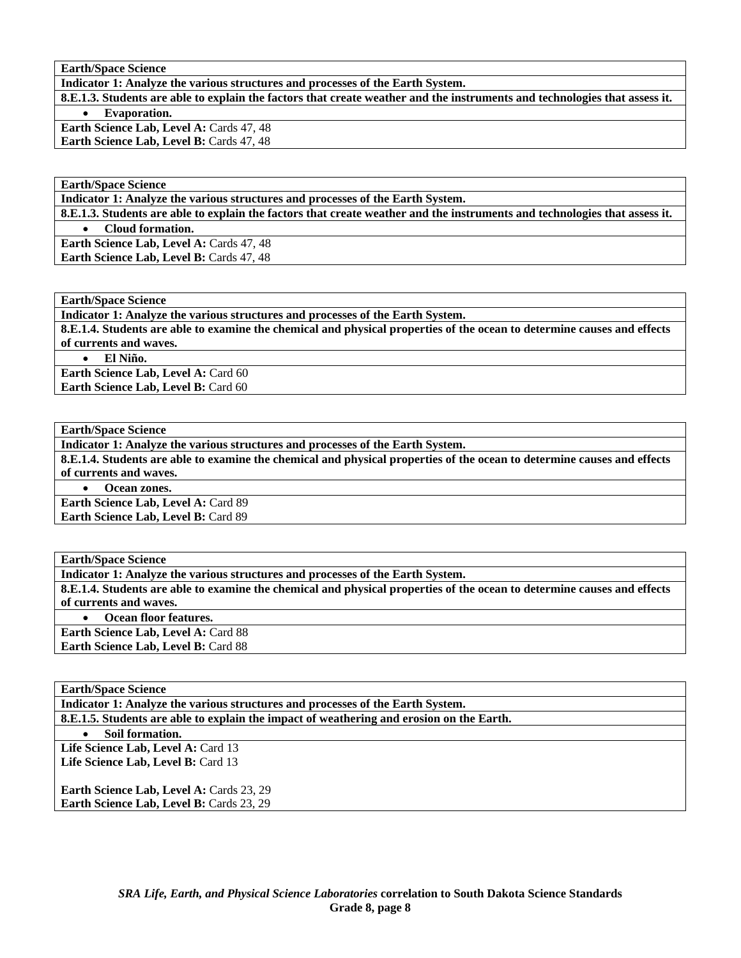**Indicator 1: Analyze the various structures and processes of the Earth System.** 

**8.E.1.3. Students are able to explain the factors that create weather and the instruments and technologies that assess it.**  • **Evaporation.** 

**Earth Science Lab, Level A: Cards 47, 48 Earth Science Lab, Level B: Cards 47, 48** 

**Earth/Space Science** 

**Indicator 1: Analyze the various structures and processes of the Earth System.** 

**8.E.1.3. Students are able to explain the factors that create weather and the instruments and technologies that assess it.** 

• **Cloud formation.** 

**Earth Science Lab, Level A: Cards 47, 48** Earth Science Lab, Level B: Cards 47, 48

**Earth/Space Science** 

**Indicator 1: Analyze the various structures and processes of the Earth System.** 

**8.E.1.4. Students are able to examine the chemical and physical properties of the ocean to determine causes and effects of currents and waves.** 

• **El Niño.** 

Earth Science Lab, Level A: Card 60 **Earth Science Lab, Level B: Card 60** 

**Earth/Space Science** 

**Indicator 1: Analyze the various structures and processes of the Earth System.** 

**8.E.1.4. Students are able to examine the chemical and physical properties of the ocean to determine causes and effects of currents and waves.** 

• **Ocean zones.** 

**Earth Science Lab, Level A:** Card 89 **Earth Science Lab, Level B:** Card 89

**Earth/Space Science** 

**Indicator 1: Analyze the various structures and processes of the Earth System.** 

**8.E.1.4. Students are able to examine the chemical and physical properties of the ocean to determine causes and effects of currents and waves.** 

• **Ocean floor features.** 

Earth Science Lab, Level A: Card 88 Earth Science Lab, Level B: Card 88

**Earth/Space Science** 

**Indicator 1: Analyze the various structures and processes of the Earth System.** 

**8.E.1.5. Students are able to explain the impact of weathering and erosion on the Earth.** 

• **Soil formation.** 

Life Science Lab, Level A: Card 13 Life Science Lab, Level B: Card 13

**Earth Science Lab, Level A: Cards 23, 29** Earth Science Lab, Level B: Cards 23, 29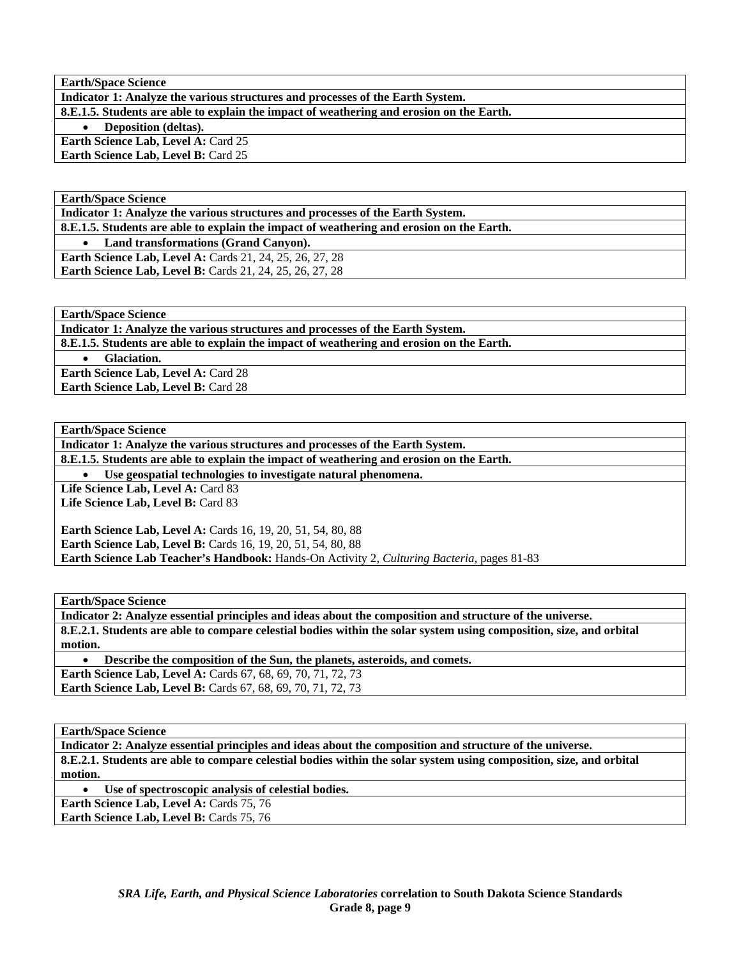| <b>Earth/Space Science</b>                                                               |
|------------------------------------------------------------------------------------------|
| Indicator 1: Analyze the various structures and processes of the Earth System.           |
| 8.E.1.5. Students are able to explain the impact of weathering and erosion on the Earth. |
| Deposition (deltas).<br>$\bullet$                                                        |
| <b>Earth Science Lab, Level A: Card 25</b>                                               |
| <b>Earth Science Lab, Level B: Card 25</b>                                               |
|                                                                                          |

**Indicator 1: Analyze the various structures and processes of the Earth System.** 

**8.E.1.5. Students are able to explain the impact of weathering and erosion on the Earth.** 

• **Land transformations (Grand Canyon).** 

**Earth Science Lab, Level A:** Cards 21, 24, 25, 26, 27, 28 **Earth Science Lab, Level B:** Cards 21, 24, 25, 26, 27, 28

**Earth/Space Science** 

**Indicator 1: Analyze the various structures and processes of the Earth System.** 

**8.E.1.5. Students are able to explain the impact of weathering and erosion on the Earth.** 

• **Glaciation.** 

**Earth Science Lab, Level A:** Card 28 **Earth Science Lab, Level B: Card 28** 

**Earth/Space Science** 

**Indicator 1: Analyze the various structures and processes of the Earth System.** 

**8.E.1.5. Students are able to explain the impact of weathering and erosion on the Earth.** 

• **Use geospatial technologies to investigate natural phenomena.** 

Life Science Lab, Level A: Card 83 Life Science Lab, Level B: Card 83

**Earth Science Lab, Level A:** Cards 16, 19, 20, 51, 54, 80, 88 **Earth Science Lab, Level B:** Cards 16, 19, 20, 51, 54, 80, 88 **Earth Science Lab Teacher's Handbook:** Hands-On Activity 2, *Culturing Bacteria,* pages 81-83

**Earth/Space Science** 

**Indicator 2: Analyze essential principles and ideas about the composition and structure of the universe. 8.E.2.1. Students are able to compare celestial bodies within the solar system using composition, size, and orbital motion.** 

• **Describe the composition of the Sun, the planets, asteroids, and comets. Earth Science Lab, Level A: Cards 67, 68, 69, 70, 71, 72, 73** 

**Earth Science Lab, Level B:** Cards 67, 68, 69, 70, 71, 72, 73

**Earth/Space Science** 

**Indicator 2: Analyze essential principles and ideas about the composition and structure of the universe. 8.E.2.1. Students are able to compare celestial bodies within the solar system using composition, size, and orbital motion.** 

Use of spectroscopic analysis of celestial bodies.

Earth Science Lab, Level A: Cards 75, 76

Earth Science Lab, Level B: Cards 75, 76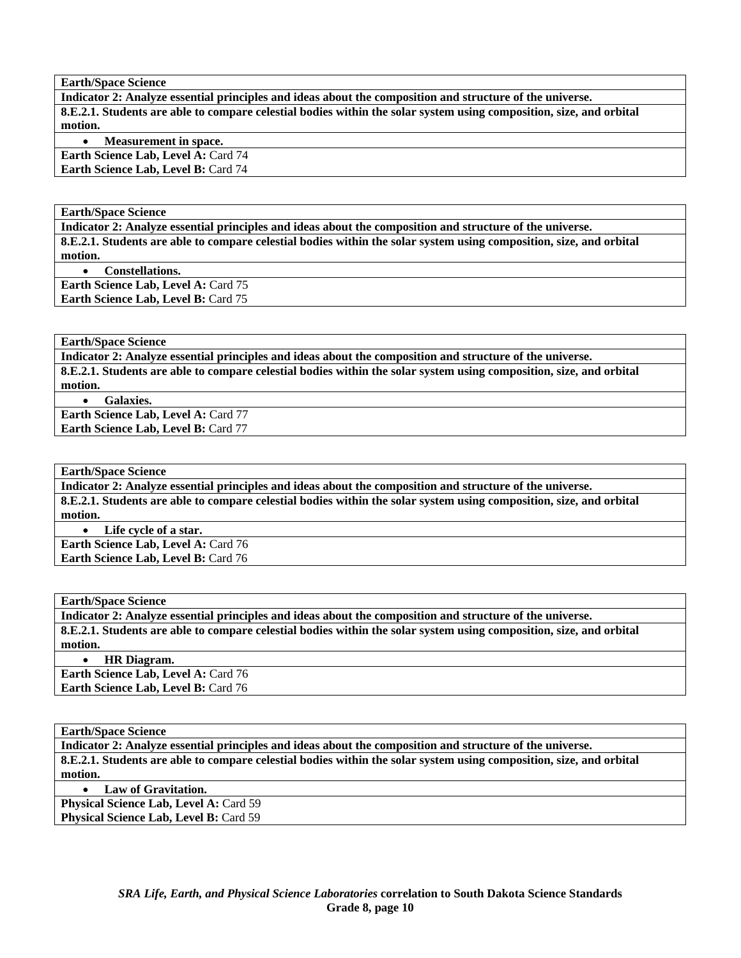**Indicator 2: Analyze essential principles and ideas about the composition and structure of the universe. 8.E.2.1. Students are able to compare celestial bodies within the solar system using composition, size, and orbital motion.** 

• **Measurement in space.** 

**Earth Science Lab, Level A: Card 74 Earth Science Lab, Level B: Card 74** 

**Earth/Space Science** 

**Indicator 2: Analyze essential principles and ideas about the composition and structure of the universe. 8.E.2.1. Students are able to compare celestial bodies within the solar system using composition, size, and orbital motion.** 

• **Constellations. Earth Science Lab, Level A: Card 75 Earth Science Lab, Level B: Card 75** 

**Earth/Space Science** 

**Indicator 2: Analyze essential principles and ideas about the composition and structure of the universe. 8.E.2.1. Students are able to compare celestial bodies within the solar system using composition, size, and orbital motion.** 

• **Galaxies.** 

**Earth Science Lab, Level A: Card 77 Earth Science Lab, Level B: Card 77** 

**Earth/Space Science** 

**Indicator 2: Analyze essential principles and ideas about the composition and structure of the universe. 8.E.2.1. Students are able to compare celestial bodies within the solar system using composition, size, and orbital motion.** 

• **Life cycle of a star. Earth Science Lab, Level A: Card 76** 

**Earth Science Lab, Level B: Card 76** 

**Earth/Space Science** 

**Indicator 2: Analyze essential principles and ideas about the composition and structure of the universe. 8.E.2.1. Students are able to compare celestial bodies within the solar system using composition, size, and orbital motion.** 

• **HR Diagram.** 

**Earth Science Lab, Level A: Card 76** Earth Science Lab, Level B: Card 76

**Earth/Space Science** 

**Indicator 2: Analyze essential principles and ideas about the composition and structure of the universe. 8.E.2.1. Students are able to compare celestial bodies within the solar system using composition, size, and orbital motion.** 

• **Law of Gravitation.** 

**Physical Science Lab, Level A: Card 59** Physical Science Lab, Level B: Card 59